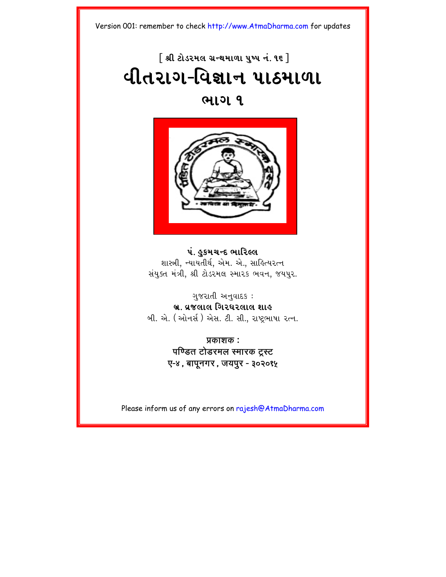# $\lceil$  શ્રી ટોડરમલ ગ્રન્થમાળા ૫ષ્પ નં. ૧૬  $\rceil$ **યીતરાગ-વિજ્ઞાન પાઠમાળા**

# **<u>GILDI 9</u>**



# **પં. હકમચન્દ ભારિલ્લ** શાસ્ત્રી, ન્યાયતીર્થ, એમ. એ., સાહિત્યરત્ન સંયુક્ત મંત્રી, શ્રી ટોડરમલ સ્મારક ભવન, જયપુર.

# ગ $82$ યતી અનવાદ $s$  : <u>બ્ર. વ્રજલાલ ગિરધરલાલ શાહ</u>

બી. એ. (ઓનર્સ) એસ. ટી. સી., રાષ્ટ્રભાષા રત્ન.

**Ýkaxk : पण्डित टोडरमल स्मारक ट्रस्ट O-4, bapUngr, jypur - 302015**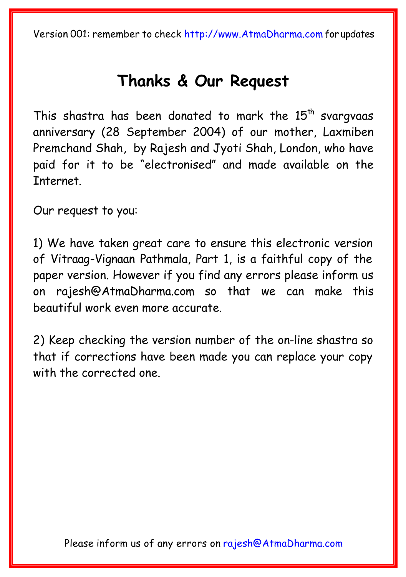# **[Thanks & Our Reque](mailto:rajesh@AtmaDharma.com)st**

This shastra has been donated to mark the  $15<sup>th</sup>$  svargvaas anniversary (28 September 2004) of our mother, Laxmiben Premchand Shah, by Rajesh and Jyoti Shah, London, who have paid for it to be "electronised" and made available on the Internet.

Our request to you:

1) We have taken great care to ensure this electronic version of Vitraag-Vignaan Pathmala, Part 1, is a faithful copy of the paper version. However if you find any errors please inform us on rajesh@AtmaDharma.com so that we can make this beautiful work even more accurate.

2) Keep checking the version number of the on-line shastra so that if corrections have been made you can replace your copy with the corrected one.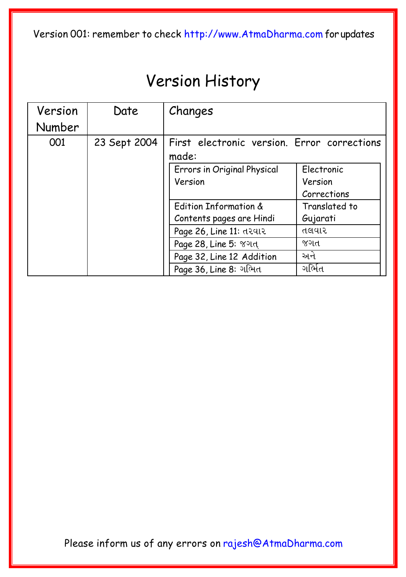# Version History

| Version | Date         | Changes                                              |                       |
|---------|--------------|------------------------------------------------------|-----------------------|
| Number  |              |                                                      |                       |
| 001     | 23 Sept 2004 | First electronic version. Error corrections<br>made: |                       |
|         |              | Errors in Original Physical<br>Version               | Electronic<br>Version |
|         |              |                                                      | Corrections           |
|         |              | Edition Information &                                | Translated to         |
|         |              | Contents pages are Hindi                             | Gujarati              |
|         |              | Page 26, Line 11: તરવાર                              | તલવાર                 |
|         |              | Page 28, Line 5: 8014                                | જગત                   |
|         |              | Page 32, Line 12 Addition                            | અને                   |
|         |              | Page 36, Line 8: ગભિત                                | ગર્ભિત                |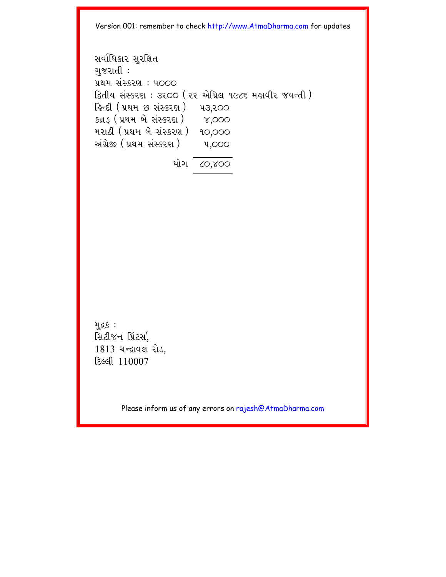svaRi\kar suriÙt gujratI : Ý=m sHSkr` : p000 iätIy sHSkr` : 3200 (22 AeiÝl 1986 mhavIr jyNtI) ihNdI (Ý=m K sHSkr`) p3,200 kþD³ (Ý=m be sHSkr`) 4,000 mra@I (Ý=m be sHSkr`) 10,000 AHg/eÒ (Ý=m sHSkr`) p,000 yaeg 80,400

મુદ્રક : સિટીજન પ્રિંટર્સ,  $1813$  ચન્દ્રાવલ રોડ,  $E$  $e$  $e$  $110007$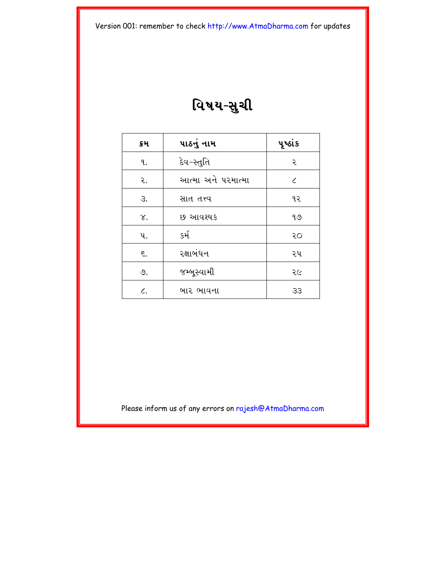વિષય-સુચી

| ક્રમ         | પાઠનું નામ         | પૂર્ષ્ઠાંક |
|--------------|--------------------|------------|
| ٩.           | દેવ−સ્તુતિ         | २          |
| ર.           | આત્મા અને પરમાત્મા | $\epsilon$ |
| З.           | સાત તત્ત્વ         | ૧૨         |
| γ.           | છ આવશ્યક           | ৭৩         |
| પ.           | કર્મ               | २०         |
| ξ.           | રક્ષાબંધન          | ૨૫         |
| ৩.           | જમ્બૂસ્વામી        | २८         |
| $\epsilon$ . | બાર ભાવના          | 33         |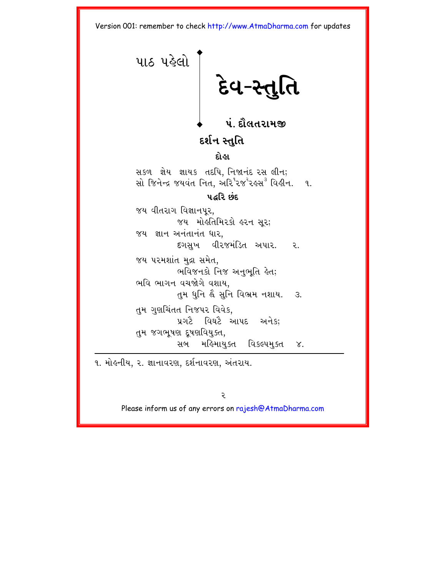<span id="page-5-0"></span>પાઠ પહેલો દેવ-સ્તુ **પં. દૌલતરામજી** દર્શન સ્તુતિ દોહા સકળ જ્ઞેય જ્ઞાયક તદપિ નિજાનંદ રસ લીન: સો જિનેન્દ્ર જયવંત નિત. અરિ<sup>૧</sup>૨જ<sup>ર</sup>રઙ્સ<sup>3</sup> વિડીન. ૧.  $303$   $\epsilon$   $35.0$ જય વીતરાગ વિજ્ઞાનપર. જય મોહતિમિરકો હરન સુર; જય જ્ઞાન અનંતાનંત ધાર. દગસખ વીરજમંડિત અપાર. ૨. જય પરમશાંત મુદ્રા સમેત. ભવિજનકો નિજ અનુભૃતિ હેત; ભવિ ભાગન વચજોગે વશાય. તુમ ધુનિ હૈ સુનિ વિભ્રમ નશાય. 3. તુમ ગુણચિંતત નિજપર વિવેક, પ્રગટે વિઘટે આપદ અનેકઃ તુમ જગભૂષણ દૂષણવિયુક્ત, સબ મહિમાયુક્ત વિકલ્પમુક્ત ૪.

૧. મોહનીય, ૨. જ્ઞાનાવરણ, દર્શનાવરણ, અંતરાય.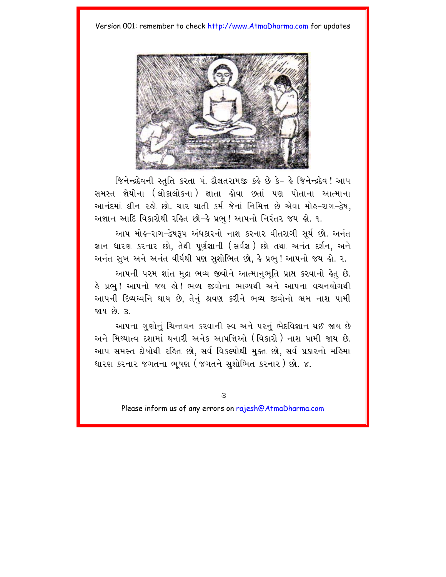

જિનેન્દ્રદેવની સ્તુતિ કરતા પં. દૌલતરામજી કહે છે કે- હે જિનેન્દ્રદેવ! આપ સમસ્ત જ્ઞેયોના (લોકાલોકના) જ્ઞાતા હોવા છતાં પણ પોતાના આત્માના આનંદમાં લીન રહો છો. ચાર ઘાતી કર્મ જેનાં નિમિત્ત છે એવા મોહ-રાગ-દ્વેષ. અજ્ઞાન આદિ વિકારોથી રહિત છો-હે પ્રભુ! આપનો નિરંતર જય હો. ૧.

આપ મોલ-રાગ-દ્વેષરૂપ અંધકારનો નાશ કરનાર વીતરાગી સૂર્ય છો. અનંત જ્ઞાન ધારણ કરનાર છો. તેથી પર્ણજ્ઞાની (સર્વજ્ઞ) છો તથા અનંત દર્શન. અને અનંત સુખ અને અનંત વીર્યથી પણ સુશોભિત છો, કે પ્રભુ ! આપનો જય કો. ર.

આપની પરમ શાંત મદ્રા ભવ્ય જીવોને આત્માનભતિ પ્રાપ્ત કરવાનો હેત છે. હે પ્રભુ! આપનો જય હો! ભવ્ય જીવોના ભાગ્યથી અને આપના વચનયોગથી આપની દિવ્યધ્વનિ થાય છે, તેનું શ્રવણ કરીને ભવ્ય જીવોનો ભ્રમ નાશ પામી જાય છે ૩

આપના ગુણોનું ચિન્તવન કરવાની સ્વ અને પરનું ભેદવિજ્ઞાન થઈ જાય છે અને મિથ્યાત્વ દશામાં થનારી અનેક આપત્તિઓ (વિકારો ) નાશ પામી જાય છે. આપ સમસ્ત દોષોથી રહિત છો, સર્વ વિકલ્પોથી મુક્ત છો, સર્વ પ્રકારનો મહિમા ધારણ કરનાર જગતના ભૂષણ (જગતને સુશોભિત કરનાર) છો. ૪.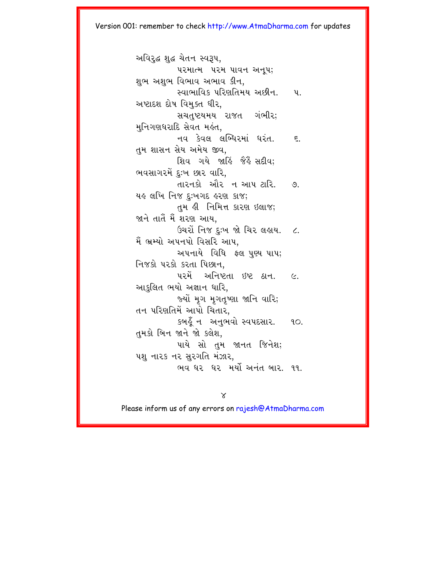અવિરદ્ધ શદ્ધ ચેતન સ્વરૂપ. પરમાત્મ પરમ પાવન અનપ; શુભ અશુભ વિભાવ અભાવ કીન. સ્વાભાવિક પરિણતિમય અછીન. પા અષ્ટાદશ દોષ વિમક્ત ધીર. સચતુષ્ટયમય રાજત ગંભીર; મુનિગણધરાદિ સેવત મહંત. નવ કેવલ લબ્ધિરમાં ધરંત. દ તુમ શાસન સેય અમેય જીવ. શિવ ગયે જાહિં જૈહૈં સદીવ: ભવસાગરમેં દુઃખ છાર વારિ. તારનકો ઔર ન આપ ટારિ. ૭. यङ લખિ નિજ દુઃખગદ હરણ કાજ; તુમ કી નિમિત્ત કારણ ઇલાજ; જાને તાતેં મેં શરણ આય. ઉચરોં નિજ દઃખ જો ચિર લહાય. ૮. મૈં ભ્રમ્યો અપનપો વિસરિ આપ, અપનાયે વિધિ ફ્લ પુણ્ય પાપ; નિજકો પરકો કરતા પિછાન. ૫૨મેં અનિષ્ટતા ઇષ્ટ ઠાન. ૯. આકુલિત ભયો અજ્ઞાન ધારિ, જ્યોં મૃગ મૃગતૃષ્ણા જાનિ વારિ; તન પરિણતિમેં આપો ચિતાર. કબહુઁ ન અનુભવો સ્વપદસાર. ૧૦. તુમકો બિન જાને જો કલેશ. પાયે સો તુમ જાનત જિનેશ; પશુ નારક નર સુરગતિ મંઝાર, ભવ ઘર ઘર મર્યો અનંત બાર, ૧૧.

 $\chi$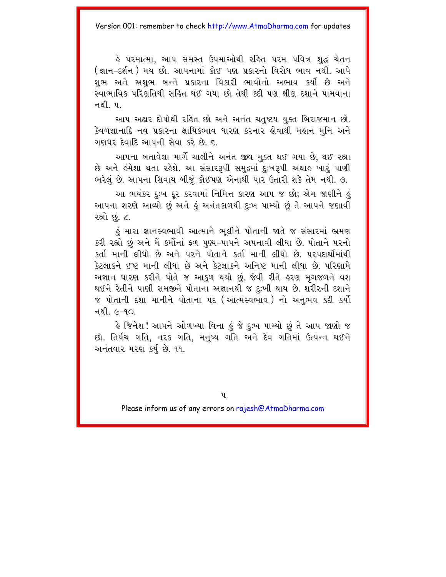હે પરમાત્મા. આપ સમસ્ત ઉપમાઓથી રહિત પરમ પવિત્ર શદ્<mark>વ</mark> ચેતન (જ્ઞાન-દર્શન ) મય છો. આપનામાં કોઈ પણ પ્રકારનો વિરોધ ભાવ નથી. આપે શભ અને અશભ બન્ને પ્રકારના વિકારી ભાવોનો અભાવ કર્યો છે અને સ્વાભાવિક પરિણતિથી સહિત થઈ ગયા છો તેથી કદી પણ ક્ષીણ દશાને પામવાના <u>ุ ส</u>ยใ บ

આપ અઢાર દોષોથી રહિત છો અને અનંત ચતુષ્ટય યુક્ત બિરાજમાન છો. કેવળજ્ઞાનાદિ નવ પ્રકારના ક્ષાયિકભાવ ધારણ કરનાર હોવાથી મહાન મુનિ અને ગણધર દેવાદિ આપની સેવા કરે છે. ૬.

આપના બતાવેલા માર્ગે ચાલીને અનંત જીવ મુક્ત થઈ ગયા છે, થઈ રહ્યા છે અને હંમેશા થતા રહેશે. આ સંસાર3પી સમુદ્રમાં દઃખ3પી અથાહ ખારું પાણી ભરેલું છે. આપના સિવાય બીજું કોઈપણ એનાથી પાર ઉતારી શકે તેમ નથી. ૭.

આ ભયંકર દુઃખ દૂર કરવામાં નિમિત્ત કારણ આપ જ છો; એમ જાણીને હું આપના શરણે આવ્યો છું અને હું અનંતકાળથી દુઃખ પામ્યો છું તે આપને જણાવી રહ્યો છે. ૮.

કું મારા જ્ઞાનસ્વભાવી આત્માને ભલીને પોતાની જાતે જ સંસારમાં ભ્રમણ કરી રહ્યો છં અને મેં કર્મોનાં ફળ પણ્ય–પાપને અપનાવી લીધા છે. પોતાને પરનો કર્તા માની લીધો છે અને પરને પોતાને કર્તા માની લીધો છે પરપદાર્થોમાંથી કેટલાકને ઈષ્ટ માની લીધા છે અને કેટલાકને અનિષ્ટ માની લીધા છે પરિણામે અજ્ઞાન ધારણ કરીને પોતે જ આકળ થયો છું. જેવી રીતે હરણ મગજળને વશ થઈને રેતીને પાણી સમજીને પોતાના અજ્ઞાનથી જ દઃખી થાય છે. શરીરની દશાને જ પોતાની દશા માનીને પોતાના પદ (આત્મસ્વભાવ) નો અનભવ કદી કર્યો નથી *(*⁄−૧∩

હે જિનેશ! આપને ઓળખ્યા વિના હું જે દુઃખ પામ્યો છું તે આપ જાણો જ છો. તિર્યંચ ગતિ, ન૨ક ગતિ, મનુષ્ય ગતિ અને દેવ ગતિમાં ઉત્પન્ન થઈને અનંતવાર મરણ કર્યુ છે. ૧૧.

**u**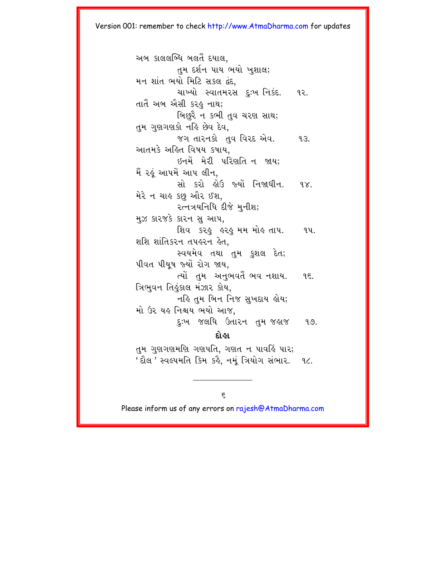અબ કાલલબ્ધિ બલતૈં દયાલ. તમ દર્શન પાય ભયો ખશાલ: મન શાંત ભયો મિટિ સકલ દંદ. ચાખ્યો સ્વાતમરસ દઃખ નિકંદ. ૧૨. તાતૈ અબ ઐસી કરઙ નાથ; બિછરે ન કભી તુવ ચરણ સાથ; તમ ગુણગણકો નહિ છેવ દેવ. જગ તારનકો તવ વિરદ એવ.  $93.$ આતમકે અહિત વિષય કષાય. ઈનમેં મેરી પરિણતિ ન જાય; મૈં રહું આપમેં આપ લીન. સો કરો હોઉ જ્યોં નિજાઘીન.  $9X$ મેરે ન ચાહ કછુ ઔર ઈશ, २त्नत्रयनिधि दीक्षे भूनीश; મુઝ કારજકે કારન સુ. આપ, શિવ કરફ હરફ મમ મોહ તાપ. ૧૫. શશિ શાંતિકરન તપહરન હેત. સ્વયમેવ તથા તમ કુશલ દેત; પીવત પીયુષ જ્યોં રોગ જાય. ત્યોં તમ અનુભવર્તૈ ભવ નશાય. 95. ત્રિભુવન તિલુકાલ મંઝાર કોય, નહિ તુમ બિન નિજ સુખદાય હોય; મો ઉર યહ નિશ્ચય ભયો આજ. દુઃખ જલધિ ઉતારન તમજઙાજ  $9.9.$ દોહા તમ ગુણગણમણિ ગણપતિ, ગણત ન પાવર્હિ પાર; 'દૌલ ' સ્વલ્પમતિ કિમ કર્લ્ડ, નમું ત્રિયોગ સંભાર. ૧૮.

Please inform us of any errors on rajesh@AtmaDharma.com

 $\epsilon$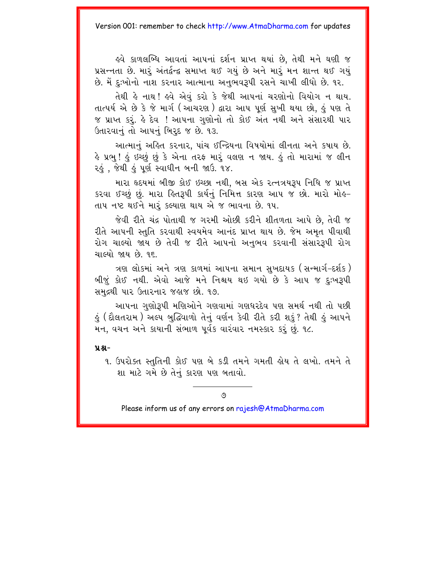ઢવે કાળલબ્ધિ આવતાં આપનાં દર્શન પ્રાપ્ત થયાં છે. તેથી મને ઘણી જ પ્રસન્નતા છે. મારું અંતર્દુન્દ્વ સમાપ્ત થઈ ગયું છે અને મારું મન શાન્ત થઈ ગયું છે. મેં દઃખોનો નાશ કરનાર આત્માના અનભવરૂપી રસને ચાખી લીધો છે. ૧૨.

તેથી હે નાથ ! હવે એવં કરો કે જેથી આપનાં ચરણોનો વિયોગ ન થાય. તાત્પર્ય એ છે કે જે માર્ગ (આચરણ) દ્વારા આપ પૂર્ણ સુખી થયા છો, હું પણ તે જ પ્રાપ્ત કરૂં. હે દેવ ! આપના ગુણોનો તો કોઈ અંત નથી અને સંસારથી પાર ઉતારવાનું તો આપનું બિરૃદ જ છે. ૧૩.

આત્માનું અહિત કરનાર, પાંચ ઈન્દ્રિયના વિષયોમાં લીનતા અને કષાય છે. હે પ્રભુ! હું ઇચ્છું છું કે એના તરફ મારૂં વલણ ન જાય. હું તો મારામાં જ લીન રહું, જેથી હું પૂર્ણ સ્વાધીન બની જાઉ. ૧૪.

મારા હૃદયમાં બીજી કોઈ ઇચ્છા નથી. બસ એક રત્નત્રયરૂપ નિધિ જ પ્રાપ્ત કરવા ઈચ્છું છું. મારા હિતરૂપી કાર્યનું નિમિત્ત કારણ આપ જ છો. મારો મોહ-તાપ નષ્ટ થઈને મારૂં કલ્યાણ થાય એ જ ભાવના છે. ૧૫.

જેવી રીતે ચંદ્ર પોતાથી જ ગરમી ઓછી કરીને શીતળતા આપે છે. તેવી જ રીતે આપની સ્તતિ કરવાથી સ્વયમેવ આનંદ પ્રાપ્ત થાય છે. જેમ અમત પીવાથી રોગ ચાલ્યો જાય છે તેવી જ રીતે આપનો અનભવ કરવાની સંસાર૩પી રોગ ચાલ્યો જાય છે ૧૬

ત્રણ લોકમાં અને ત્રણ કાળમાં આપના સમાન સુખદાયક (સન્માર્ગ-દર્શક) બીજું કોઈ નથી. એવો આજે મને નિશ્ચય થઇ ગયો છે કે આપ જ દુઃખરૂપી સમુદ્રથી પાર ઉતારનાર જહાજ છો. ૧૭.

આપના ગુણોરૂપી મણિઓને ગણવામાં ગણધરદેવ પણ સમર્થ નથી તો પછી ડું ( દૌલતરામ ) અલ્પ બુદ્ધિવાળો તેનું વર્ણન કેવી રીતે કરી શકું? તેથી ડું આપને મન, વચન અને કાયાની સંભાળ પૂર્વક વારંવાર નમસ્કાર કરું છું. ૧૮.

#### $9.8 -$

૧. ઉપરોક્ત સ્તતિની કોઈ પણ બે કડી તમને ગમતી હોય તે લખો. તમને તે શા માટે ગમે છે તેનં કારણ પણ બતાવો.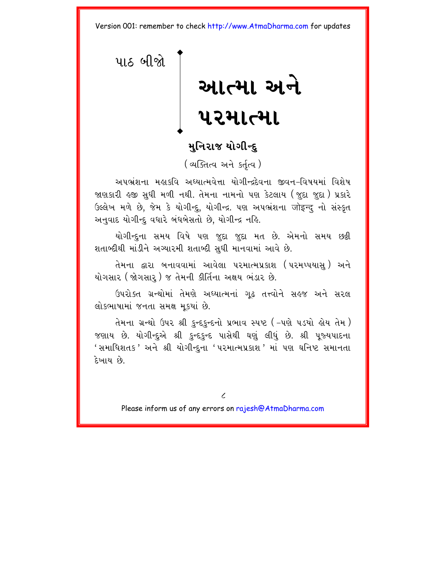<span id="page-11-0"></span>પાઠ બીજો

# આત્મા અને પરમાત્મા

# મનિરાજ યોગીન્દ

(अजित्य अने sर्तत्य)

અપભ્રંશના મહાકવિ અઘ્યાત્મવેત્તા યોગીન્દ્રદેવના જીવન–વિષયમાં વિશેષ જાણકારી હજી સુધી મળી નથી. તેમના નામનો પણ કેટલાય (જુદા જુદા) પ્રકારે ઉલ્લેખ મળે છે, જેમ કે યોગીન્દુ, યોગીન્દ્ર. પણ અપભ્રંશના जोइन्दु નો સંસ્કૃત અનવાદ યોગીન્દ વધારે બંધબેસતો છે. યોગીન્દ્ર નહિ.

યોગીન્દ્દના સમય વિષે પણ જુદા જુદા મત છે. એમનો સમય છક્રી શતાબ્દીથી માંડીને અગ્યારમી શતાબ્દી સુધી માનવામાં આવે છે.

તેમના દ્વારા બનાવવામાં આવેલા પરમાત્મપ્રકાશ (પરમપ્પયાસ્) અને યોગસાર (જોગસાર ) જ તેમની કીર્તિના અક્ષય ભંડાર છે.

ઉપરોક્ત ગ્રન્થોમાં તેમણે અધ્યાત્મનાં ગૃઢ તત્ત્વોને સહજ અને સરલ લોકભાષામાં જનતા સમક્ષ મુકયાં છે.

તેમના ગ્રન્થો ઉપર શ્રી કુન્દકુન્દનો પ્રભાવ સ્પષ્ટ ( –પણે પડયો હોય તેમ ) જણાય છે. યોગીન્દુએ શ્રી કુન્દકુન્દ પાસેથી ઘણું લીધું છે. શ્રી પૂજ્યપાદના ' સમાધિશતક 'અને શ્રી યોગીન્દુના ' પરમાત્મપ્રકાશ ' માં પણ ઘનિષ્ટ સમાનતા દેખાય છે

 $\overline{\mathcal{L}}$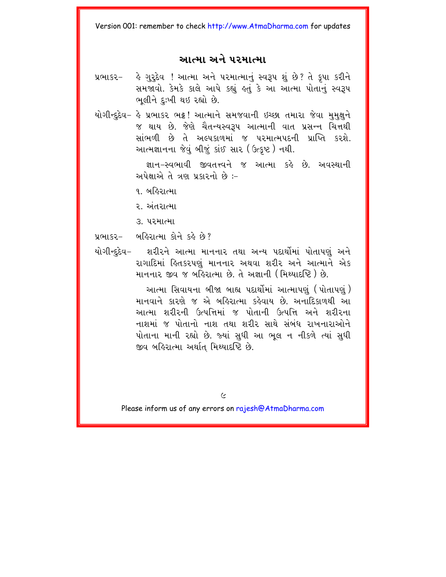## આત્મા અને પરમાત્મા

- પ્રભાકર- કે ગુરૂદેવ ! આત્મા અને પરમાત્માનું સ્વરૂપ શું છે? તે કપા કરીને સમજાવો. કેમકે કાલે આપે કહ્યું હતું કે આ આત્મા પોતાનું સ્વરૂપ ભલીને દઃખી થઇ રહ્યો છે.
- યોગીન્દુદેવ- હે પ્રભાકર ભટ્ટ! આત્માને સમજવાની ઇચ્છા તમારા જેવા મુમુક્ષુને જ થાય છે. જેણે ચૈતન્યસ્વરૂપ આત્માની વાત પ્રસન્ન ચિત્તથી સાંભળી છે તે અલ્પકાળમાં જ પરમાત્મપદની પ્રાપ્તિ કરશે. આત્મજ્ઞાનના જેવું બીજું કાંઈ સાર (ઉત્કૃષ્ટ) નથી.

જ્ઞાન-સ્વભાવી જીવતત્ત્વને જ આત્મા કહે છે. અવસ્થાની અપેક્ષાએ તે ત્રણ પ્રકારનો છે :-

- ૧. બહિરાત્મા
- ર અંતરાત્મા
- 3. પરમાત્મા
- પ્રભાકર- બહિરાત્મા કોને કહે છે?
- શરીરને આત્મા માનનાર તથા અન્ય પદાર્થોમાં પોતાપણં અને યોગીન્દદેવ− રાગાદિમાં હિતકરપણં માનનાર અથવા શરીર અને આત્માને એક માનનાર જીવ જ બહિરાત્મા છે. તે અજ્ઞાની (મિથ્યાદષ્ટિ) છે.

આત્મા સિવાયના બીજા બાહ્ય પદાર્થોમાં આત્માપણું (પોતાપણું) માનવાને કારણે જ એ બહિરાત્મા કહેવાય છે અનાદિકાળથી આ આત્મા શરીરની ઉત્પત્તિમાં જ પોતાની ઉત્પત્તિ અને શરીરના નાશમાં જ પોતાનો નાશ તથા શરીર સાથે સંબંધ રાખનારાઓને પોતાના માની રહ્યો છે. જ્યાં સુધી આ ભુલ ન નીકળે ત્યાં સુધી જીવ બહિરાત્મા અર્થાત મિથ્યાદષ્ટિ છે.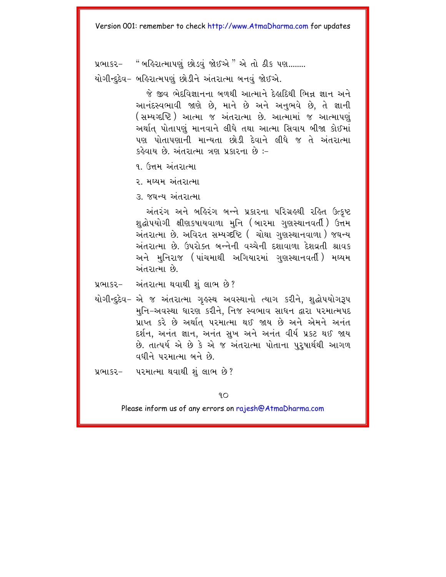પ્રભાકર- "બર્હિરાત્માપણું છોડવું જોઈએ" એ તો ઠીક પણ........

યોગીન્દદેવ- બહિરાત્મપણું છોડીને અંતરાત્મા બનવં જોઈએ.

જે જીવ ભેદવિજ્ઞાનના બળથી આત્માને દેહાદિથી ભિન્ન જ્ઞાન અને આનંદસ્વભાવી જાણે છે, માને છે અને અનુભવે છે, તે જ્ઞાની (સમ્યગ્દષ્ટિ) આત્મા જ અંતરાત્મા છે. આત્મામાં જ આત્માપણું અર્થાત પોતાપણું માનવાને લીધે તથા આત્મા સિવાય બીજા કોઈમાં પણ પોતાપણાની માન્યતા છોડી દેવાને લીધે જ તે અંતરાત્મા કહેવાય છે. અંતરાત્મા ત્રણ પ્રકારના છે :-

૧. ઉત્તમ અંતરાત્મા

२ भध्यम अंतशत्मा

3. જઘન્ય અંતરાત્મા

અંતરંગ અને બર્હિરંગ બન્ને પ્રકારના પરિગ્રહથી રહિત ઉત્કૃષ્ટ <u>શુદ્ધોપયોગી ક્ષીણકષાયવાળા મુનિ (બારમા ગુણસ્થાનવર્તી) ઉત્ત</u>મ અંતરાત્મા છે. અવિરત સમ્યગ્દષ્ટિ ( ચોથા ગુણસ્થાનવાળા ) જઘન્ય અંતરાત્મા છે. ઉપરોક્ત બન્નેની વચ્ચેની દશાવાળા દેશવ્રતી શ્રાવક અને મનિરાજ (પાંચમાથી અગિયારમાં ગણસ્થાનવર્તી) મઘ્યમ એ મનગતમાં છે.

- પ્રભાકર- અંતરાત્મા થવાથી શું લાભ છે?
- યોગીન્દુદેવ– એ જ અંતરાત્મા ગુહસ્થ અવસ્થાનો ત્યાગ કરીને, શુદ્ધોપયોગરૂપ મુનિ-અવસ્થા ધારણ કરીને, નિજ સ્વભાવ સાધન દ્વારા પરમાત્મપદ પ્રાપ્ત કરે છે અર્થાત્ પરમાત્મા થઈ જાય છે અને એમને અનંત દર્શન, અનંત જ્ઞાન, અનંત સુખ અને અનંત વીર્ય પ્રકટ થઈ જાય છે. તાત્પર્ય એ છે કે એ જ અંતરાત્મા પોતાના પુરૂષાર્થથી આગળ વધીને પરમાત્મા બને છે.
- પ્રભાકર- પરમાત્મા થવાથી શું લાભ છે?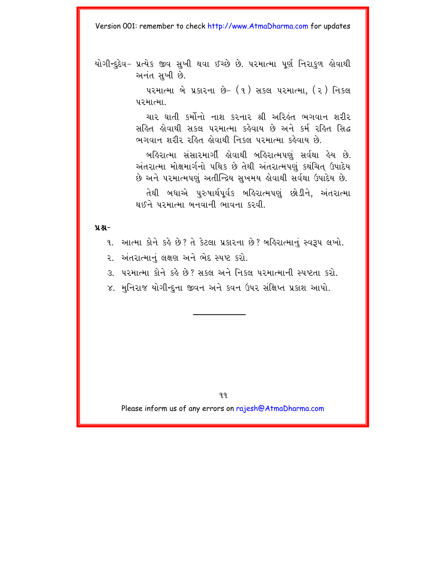યોગીન્દૃદેવ– પ્રત્યેક જીવ સુખી થવા ઈચ્છે છે. પરમાત્મા પૂર્ણ નિરાકુળ હોવાથી અનંત સખી છે.

> પરમાત્મા બે પ્રકારના છે-  $(1)$  સકલ પરમાત્મા.  $(2)$  નિકલ पश्मा

> ચાર ઘાતી કર્મોનો નાશ કરનાર શ્રી અરિહંત ભગવાન શરીર સહિત હોવાથી સકલ પરમાત્મા કહેવાય છે અને કર્મ રહિત સિદ્ધ ભગવાન શરીર રહિત હોવાથી નિકલ પરમાત્મા કહેવાય છે.

> બહિરાત્મા સંસારમાર્ગી લોવાથી બહિરાત્મપણું સર્વથા હેય છે. અંતરાત્મા મોક્ષમાર્ગનો પથિક છે તેથી અંતરાત્મપણું કથંચિત ઉપાદેય છે અને પરમાત્મપણું અતીન્દ્રિય સુખમય હોવાથી સર્વથા ઉપાદેય છે. તેથી બધાએ પુરુષાર્થપૂર્વક બહિરાત્મપણું છોડીને, અંતરાત્મા  $28$ भि पश्मात्मा બનવાની ભાવના કરવી

**ÝÆ-**

૧. આત્મા કોને કહે છે? તે કેટલા પ્રકારના છે? બહિરાત્માનું સ્વરૂપ લખો.

૨. અંતરાત્માનું લક્ષણ અને ભેદ સ્પષ્ટ કરો.

3. પરમાત્મા કોને કહે છે? સકલ અને નિકલ પરમાત્માની સ્પષ્ટતા કરો.

૪. મુનિરાજ યોગીન્દુના જીવન અને કવન ઉપર સંક્ષિપ્ત પ્રકાશ આપો.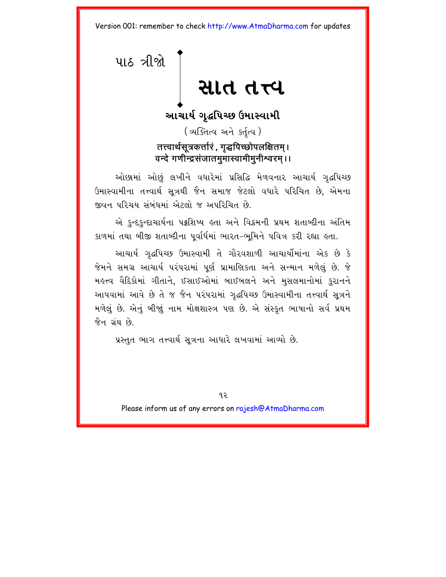<span id="page-15-0"></span>પાઠ ત્રીજો સાત તત્ત્વ

> આચાર્ય ગુદ્ધપિચ્છ ઉમાસ્વામી (व्यक्तित्व અને કર્તત્વ) तत्त्वार्थसूत्रकर्त्तारं . गद्धपिच्छोपलक्षितम् । वन्दे गणीन्द्रसंजातमुमास्वामीमुनीश्वरम् ।।

ઓછામાં ઓછું લખીને વધારેમાં પ્રસિદ્ધિ મેળવનાર આચાર્ય ગૃદ્ધપિચ્છ ઉમાસ્વામીના તત્ત્વાર્થ સૂત્રથી જૈન સમાજ જેટલો વધારે પરિચિત છે, એમના જીવન પરિચય સંબંધમાં એટલો જ અપરિચિત છે.

એ કુન્દકુન્દાચાર્યના પટ્ટશિષ્ય હતા અને વિક્રમની પ્રથમ શતાબ્દીના અંતિમ કાળમાં તથા બીજી શતાબ્દીના પૂર્વાર્ધમાં ભારત-ભૂમિને પવિત્ર કરી રહ્યા હતા.

આચાર્ય ગદ્ધપિચ્છ ઉમાસ્વામી તે ગૌરવશાળી આચાર્યોમાંના એક છે કે જેમને સમગ્ર આચાર્ય પરંપરામાં પૂર્ણ પ્રામાણિકતા અને સન્માન મળેલું છે. જે મહત્ત્વ વૈદિકોમાં ગીતાને, ઈસાઈઓમાં બાઈબલને અને મુસલમાનોમાં કુરાનને આપવામાં આવે છે તે જ જૈન પરંપરામાં ગૃદ્ધપિચ્છ ઉમાસ્વામીના તત્ત્વાર્થ સૂત્રને મળેલું છે. એનું બીજાું નામ મોક્ષશાસ્ત્ર પણ છે. એ સંસ્કૃત ભાષાનો સર્વ પ્રથમ જૈન ગ્રંથ છે.

પ્રસ્તુત ભાગ તત્ત્વાર્થ સૂત્રના આધારે લખવામાં આવ્યો છે.

 $92$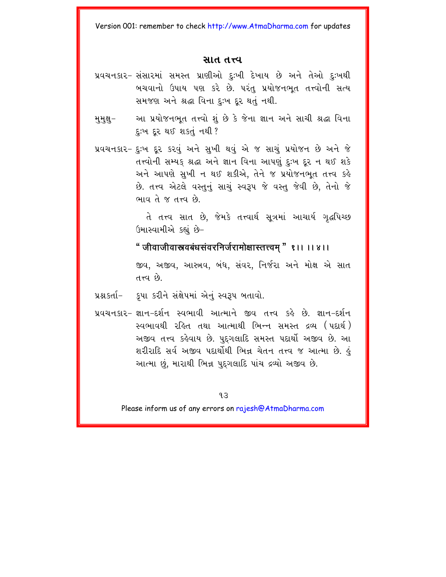#### સાત તત્ત્વ

- પ્રવચનકાર- સંસારમાં સમસ્ત પ્રાણીઓ દઃખી દેખાય છે અને તેઓ દઃખથી બચવાનો ઉપાય પણ કરે છે. પરંત પ્રયોજનભત તત્ત્વોની સત્ય સમજણ અને શ્રદ્ધા વિના દઃખ દર થતં નથી.
- આ પ્રયોજનભૂત તત્ત્વો શું છે કે જેના જ્ઞાન અને સાચી શ્રદ્ધા વિના મુમુક્ષુ– દૃ:ખ દૂર થઈ શકતું નથી?
- પ્રવચનકાર- દઃખ દર કરવં અને સખી થવં એ જ સાચં પ્રયોજન છે અને જે તત્ત્વોની સમ્યક શ્રદ્ધા અને જ્ઞાન વિના આપણું દઃખ દર ન થઈ શકે અને આપણે સુખી ન થઈ શકીએ, તેને જ પ્રયોજનભૂત તત્ત્વ કહે છે. તત્ત્વ એટલે વસ્તુનું સાચું સ્વરૂપ જે વસ્તુ જેવી છે, તેનો જે ભાવ તે જ તત્ત્વ છે.

તે તત્ત્વ સાત છે. જેમકે તત્ત્વાર્થ સત્રમાં આચાર્ય ગદ્ધપિચ્છ ઉમાસ્વામીએ કહ્યું છે-

" जीवाजीवास्नवबंधसंवरनिर्जरामोक्षास्तत्त्वम " १।। ।। ४।। જીવ, અજીવ, આસ્ત્રવ, બંધ, સંવર, નિર્જરા અને મોક્ષ એ સાત  $\hat{\rho}_3$   $D_{\text{T}}$  h

- પ્રશ્નદર્તા- કૃપા કરીને સંક્ષેપમાં એનું સ્વરૂપ બતાવો.
- પ્રવચનકાર- જ્ઞાન-દર્શન સ્વભાવી આત્માને જીવ તત્ત્વ કહે છે. જ્ઞાન-દર્શન સ્વભાવથી રહિત તથા આત્માથી ભિન્ન સમસ્ત દ્રવ્ય (પદાર્થ) અજીવ તત્ત્વ કહેવાય છે. પુદગલાદિ સમસ્ત પદાર્થો અજીવ છે. આ શરીરાદિ સર્વ અજીવ પદાર્થોથી ભિન્ન ચેતન તત્ત્વ જ આત્મા છે. કું આત્મા છું. મારાથી ભિન્ન પદગલાદિ પાંચ દ્રવ્યો અજીવ છે.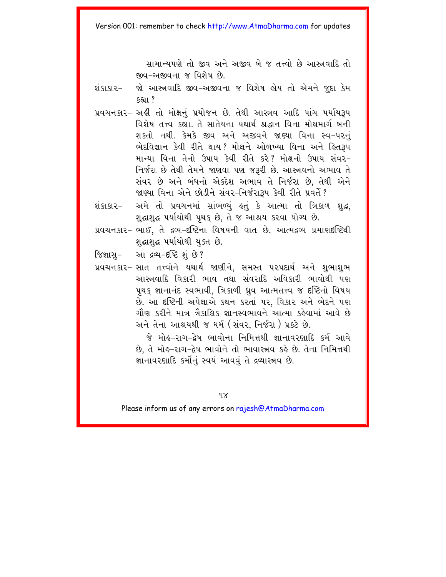સામાન્યપણે તો જીવ અને અજીવ બે જ તત્ત્વો છે આસ્ત્રવાદિ તો જીવ-અજીવના જ વિશેષ છે

- જો આસ્ત્રવાદિ જીવ-અજીવના જ વિશેષ હોય તો એમને જદા કેમ ગંદાદાગ–  $s<sub>511</sub>$ ?
- પ્રવચનકાર- અહીં તો મોક્ષનું પ્રયોજન છે. તેથી આસ્ત્રવ આદિ પાંચ પર્યાયરૂપ વિશેષ તત્ત્વ કહ્યા. તે સાતેયના યથાર્થ શ્રદ્ધાન વિના મોક્ષમાર્ગ બની શકતો નથી. કેમકે જીવ અને અજીવને જાણ્યા વિના સ્વ-પરનં ભેદવિજ્ઞાન કેવી રીતે થાય? મોક્ષને ઓળખ્યા વિના અને હિતરૂપ માન્યા વિના તેનો ઉપાય કેવી રીતે કરે? મોક્ષનો ઉપાય સંવર-નિર્જરા છે તેથી તેમને જાણવા પણ જરૂરી છે. આસ્ત્રવનો અભાવ તે સંવર છે અને બંધનો એક્દેશ અભાવ તે નિર્જરા છે. તેથી એને જાણ્યા વિના એને છોડીને સંવર-નિર્જરારૂપ કેવી રીતે પ્રવર્તે?
- શંકા.કા.ર– અમે તો પ્રવચનમાં સાંભળ્યું હતું કે આત્મા તો ત્રિકાળ શુદ્ધ, શુદ્ધાશુદ્ધ પર્યાયોથી પૃથક છે, તે જ આશ્રય કરવા યોગ્ય છે.
- પ્રવચનકાર- ભાઈ, તે દ્રવ્ય-દષ્ટિના વિષયની વાત છે. આત્મદ્રવ્ય પ્રમાણદષ્ટિથી શહાશહ પર્યાયોથી યુક્ત છે.
- જિજ્ઞાસુ- આ દ્રવ્ય-દષ્ટિ શું છે?
- પ્રવચનકાર- સાત તત્ત્વોને યથાર્થ જાણીને. સમસ્ત પરપદાર્થ અને શભાશભ આરુચવાદિ વિકારી ભાવ તથા સંવરાદિ અવિકારી ભાવોથી પણ પથક જ્ઞાનાનંદ સ્વભાવી, ત્રિકાળી ધ્રવ આત્મતત્ત્વ જ દષ્ટિનો વિષય છે. આ દષ્ટિની અપેક્ષાએ કથન કરતાં પર. વિકાર અને ભેદને પણ ગૌણ કરીને માત્ર ત્રૈકાલિક જ્ઞાનસ્વભાવને આત્મા કહેવામાં આવે છે અને તેના આશ્રયથી જ ધર્મ (સંવર, નિર્જરા) પ્રકટે છે.

જે મોહ-રાગ-દેષ ભાવોના નિમિત્તથી જ્ઞાનાવરણાદિ કર્મ આવે છે. તે મોહ-રાગ-દ્વેષ ભાવોને તો ભાવાસ્ત્રવ કહે છે. તેના નિમિત્તથી જ્ઞાનાવરણાદિ કર્મોનું સ્વયં આવવું તે દ્રવ્યાસ્ત્રવ છે.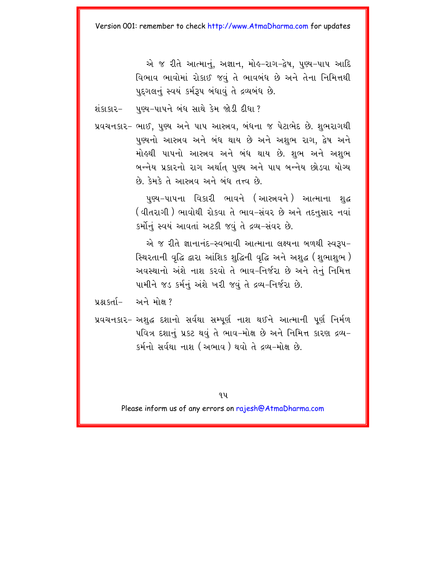એ જ રીતે આત્માનું, અજ્ઞાન, મોહ-રાગ-દ્વેષ, પુણ્ય-પાપ આદિ વિભાવ ભાવોમાં રોકાઈ જવું તે ભાવબંધ છે અને તેના નિમિત્તથી પુદગલનું સ્વયં કર્મરૂપ બંધાવું તે દ્રવ્યબંધ છે.

શંકાકાર- પુણ્ય-પાપને બંધ સાથે કેમ જોડી દીધા ?

પ્રવચનકાર- ભાઈ, પુણ્ય અને પાપ આસ્ત્રવ, બંધના જ પેટાભેદ છે. શભરાગથી પુણ્યનો આસ્ત્રવ અને બંધ થાય છે અને અશભ રાગ, દ્વેષ અને મોલ્થી પાપનો આસ્ત્રવ અને બંધ થાય છે. શભ અને અશભ બન્નેય પ્રકારનો રાગ અર્થાત પુણ્ય અને પાપ બન્નેય છોડવા યોગ્ય છે. કેમકે તે આસ્ત્રવ અને બંધ તત્ત્વ છે.

> પુણ્ય-પાપના વિકારી ભાવને (આસ્ત્રવને) આત્માના શુદ્ધ (વીતરાગી ) ભાવોથી રોકવા તે ભાવ-સંવર છે અને તદનુસાર નવાં કર્મીનું સ્વયં આવતાં અટકી જવું તે દ્રવ્ય-સંવર છે.

> એ જ રીતે જ્ઞાનાનંદ-સ્વભાવી આત્માના લક્ષ્યના બળથી સ્વરૂપ-સ્થિરતાની વૃદ્ધિ દ્વારા આંશિક શુદ્ધિની વૃદ્ધિ અને અશુદ્ધ (શુભાશુભ ) અવસ્થાનો અંશે નાશ કરવો તે ભાવ-નિર્જરા છે અને તેનું નિમિત્ત પામીને જડ કર્મનું અંશે ખરી જવું તે દ્રવ્ય-નિર્જરા છે.

प्रश्न इर्ता- અને મોક્ષ ?

પ્રવચનકાર- અશદ્ધ દશાનો સર્વથા સમ્પૂર્ણ નાશ થઈને આત્માની પૂર્ણ નિર્મળ પવિત્ર દશાનું પ્રકટ થવું તે ભાવ-મોક્ષ છે અને નિમિત્ત કારણ દ્રવ્ય-કર્મનો સર્વથા નાશ (અભાવ ) થવો તે દવ્ય–મોક્ષ છે.

9 Y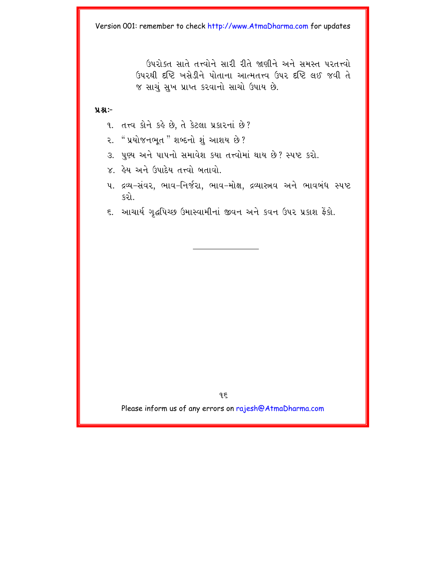ઉપરોક્ત સાતે તત્ત્વોને સારી રીતે જાણીને અને સમસ્ત પરતત્ત્વો ઉપરથી દૃષ્ટિ ખસેડીને પોતાના આત્મતત્ત્વ ઉપર દૃષ્ટિ લઈ જવી તે જ સાચું સુખ પ્રાપ્ત કરવાનો સાચો ઉપાય છે.

#### $9.8 -$

- 9. तत्त्व क्षेने डड़े છે, ते डेटला प्रडारनां છे?
- <sup>. "</sup> પ્રયોજનભૂત " શબ્દનો શું આશય છે ? ૨.
- 3. પુણ્ય અને પાપનો સમાવેશ કયા તત્ત્વોમાં થાય છે? સ્પષ્ટ કરો.
- $\times$  હેય અને ઉપાદેય તત્ત્વો બતાવો
- ૫. દ્રવ્ય-સંવર, ભાવ-નિર્જરા, ભાવ-મોક્ષ, દ્રવ્યાસ્ત્રવ અને ભાવબંધ સ્પષ્ટ કરો.
- ૬. આચાર્ય ગૃદ્ધપિચ્છ ઉમાસ્વામીનાં જીવન અને કવન ઉપર પ્રકાશ ફેંકો.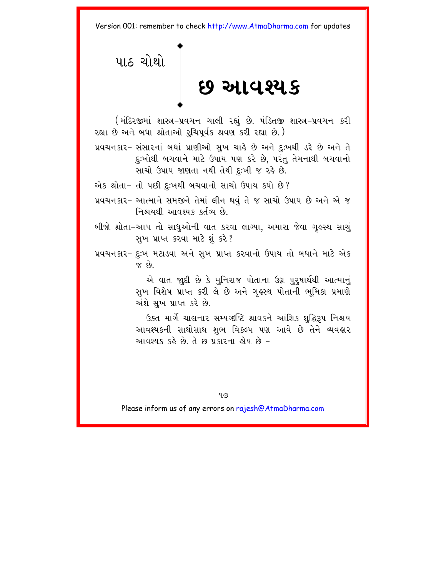<span id="page-20-0"></span>પાઠ ચોથો છ આવશ્યક

(મંદિરજીમાં શાસ્ત્ર−પ્રવચન ચાલી રહ્યું છે. પંડિતજી શાસ્ત્ર−પ્રવચન કરી રહ્યા છે અને બધા શ્રોતાઓ રૂચિપૂર્વક શ્રવણ કરી રહ્યા છે.)

પ્રવચનકાર- સંસારનાં બધાં પ્રાણીઓ સુખ ચાહે છે અને દુઃખથી ડરે છે અને તે દુઃખોથી બચવાને માટે ઉપાય પણ કરે છે, પરંતુ તેમનાથી બચવાનો સાચો ઉપાય જાણતા નથી તેથી દુઃખી જ રહે છે.

એક શ્રોતા- તો પછી દુઃખથી બચવાનો સાચો ઉપાય કયો છે?

- પ્રવચનકાર- આત્માને સમજીને તેમાં લીન થવું તે જ સાચો ઉપાય છે અને એ જ નિશ્ચયથી આવશ્યક કર્તવ્ય છે.
- બીજો શ્રોતા-આપ તો સાધઓની વાત કરવા લાગ્યા. અમારા જેવા ગહસ્થ સાચં સુખ પ્રાપ્ત કરવા માટે શું કરે?
- પ્રવચનકાર- દુઃખ મટાડવા અને સુખ પ્રાપ્ત કરવાનો ઉપાય તો બધાને માટે એક  $\delta$ 3  $\times$

એ વાત જાદી છે કે મુનિરાજ પોતાના ઉગ્ન પુરુષાર્થથી આત્માનું સુખ વિશેષ પ્રાપ્ત કરી લે છે અને ગૃહસ્થ પોતાની ભૂમિકા પ્રમાણે અંશે સુખ પ્રાપ્ત કરે છે.

ઉક્ત માર્ગે ચાલનાર સમ્યગ્દષ્ટિ શ્રાવકને આંશિક શહિરૂપ નિશ્ચય આવશ્યકની સાથોસાથ શુભ વિકલ્પ પણ આવે છે તેને વ્યવહાર આવશ્યક કહે છે. તે છ પ્રકારના હોય છે –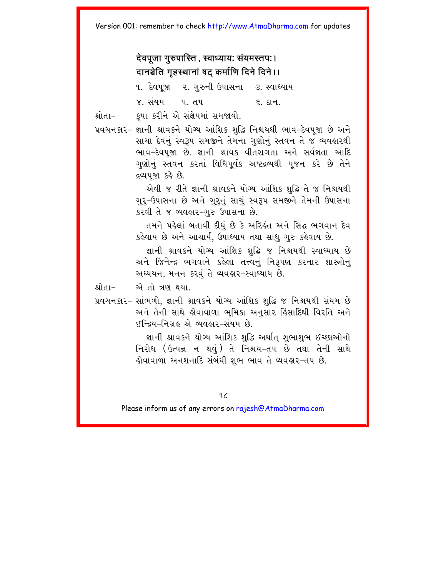देवपजा गुरुपास्ति, स्वाध्यायः संयमस्तपः। दानञ्चेति गहस्थानां षट कर्माणि दिने दिने।। ૧. દેવપજા ૨. ગુરુની ઉપાસના ૩. સ્વાધ્યાય ૪. સંયમ પંતપ ह धन

કપા કરીને એ સંક્ષેપમાં સમજાવો. શ્રોતા–

પ્રવચનકાર- જ્ઞાની શ્રાવકને યોગ્ય આંશિક શદ્ધિ નિશ્વયથી ભાવ-દેવપુજા છે અને સાચા દેવનું સ્વરૂપ સમજીને તેમના ગુણોનું સ્તવન તે જ વ્યવહારથી ભાવ-દેવપુજા છે. જ્ઞાની શ્રાવક વીતરાગતા અને સર્વજ્ઞતા આદિ ગુણોનું સ્તવન કરતાં વિધિપૂર્વક અષ્ટદ્રવ્યથી ૫જન કરે છે તેને દ્રવ્યપુજા કહે છે.

> એવી જ રીતે જ્ઞાની શ્રાવકને યોગ્ય આંશિક શુદ્ધિ તે જ નિશ્ચયથી ગુરૂ-ઉપાસના છે અને ગુરૂનું સાચું સ્વરૂપ સમજીને તેમની ઉપાસના કરવી તે જ વ્યવહાર-ગુરુ ઉપાસના છે.

> તમને પહેલાં બતાવી દીધું છે કે અરિહંત અને સિદ્ધ ભગવાન દેવ કહેવાય છે અને આચાર્ય, ઉપાધ્યાય તથા સાધુ ગુરુ કહેવાય છે.

> જ્ઞાની શ્રાવકને યોગ્ય આંશિક શદ્ધિ જ નિશ્વયથી સ્વાઘ્યાય છે અને જિનેન્દ્ર ભગવાને કહેલા તત્ત્વનું નિરૂપણ કરનાર શાસ્ત્રોનું અધ્યયન, મનન કરવું તે વ્યવહાર-સ્વાધ્યાય છે.

શ્રોતા− એ તો ત્રણ થયા.

પ્રવચનકાર- સાંભળો, જ્ઞાની શ્રાવકને યોગ્ય આંશિક શુદ્ધિ જ નિશ્વયથી સંયમ છે અને તેની સાથે લોવાવાળા ભુમિકા અનુસાર હિંસાદિથી વિરતિ અને ઈન્દિય-નિગ્રહ એ વ્યવહાર-સંયમ છે.

> જ્ઞાની શ્રાવકને યોગ્ય આંશિક શુદ્ધિ અર્થાત્ શુભાશુભ ઈચ્છાઓનો નિરોધ (ઉત્પન્ન ન થવું) તે નિશ્ચય-તપ છે તથા તેની સાથે હોવાવાળા અનશનાદિ સંબંધી શુભ ભાવ તે વ્યવહાર−તપ છે.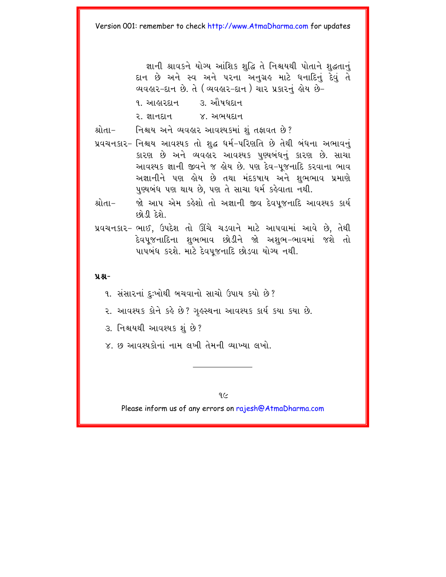જ્ઞાની શ્રાવકને યોગ્ય આંશિક શહિ તે નિશ્ચયથી પોતાને શહતાનું દાન છે અને સ્વ અને પરના અનુગ્રહ માટે ધનાદિનું દેવું તે વ્યવહાર-દાન છે. તે (વ્યવહાર-દાન) ચાર પ્રકારનું હોય છે− ૧. આહારદાન ૩. ઔષધદાન

૨. જ્ઞાનદાન ૪. અભયદાન

શ્રોતા- નિશ્ચય અને વ્યવહાર આવશ્યકમાં શું તફાવત છે?

- પ્રવચનકાર- નિશ્ચય આવશ્યક તો શુદ્ધ ધર્મ-પરિણતિ છે તેથી બંધના અભાવનું કારણ છે અને વ્યવહાર આવશ્યક પુણ્યબંધનું કારણ છે. સાચા આવશ્યક જ્ઞાની જીવને જ હોય છે. પણ દેવ-પૂજનાદિ કરવાના ભાવ અજ્ઞાનીને પણ લોય છે તથા મંદકષાય અને શુભભાવ પ્રમાણે પુચબંધ પણ થાય છે. પણ તે સાચા ધર્મ કહેવાતા નથી.
- શ્રોતા-જો આપ એમ કહેશો તો અજ્ઞાની જીવ દેવપુજનાદિ આવશ્યક કાર્ય  $63.0$
- પ્રવચનકાર- ભાઈ, ઉપદેશ તો ઊંચે ચડવાને માટે આપવામાં આવે છે, તેથી દેવપજનાદિના શભભાવ છોડીને જો અશભ–ભાવમાં જશે તો પાપબંધ કરશે. માટે દેવપજનાદિ છોડવા યોગ્ય નથી.

#### $9.8 -$

- ૧. સંસારનાં દુઃખોથી બચવાનો સાચો ઉપાય કયો છે?
- ૨. આવશ્યક કોને કહે છે? ગૃહસ્થના આવશ્યક કાર્ય કયા કયા છે.
- ૩. નિશ્ચયથી આવશ્યક શંછે?
- ૪. છ આવશ્યકોનાં નામ લખી તેમની વ્યાખ્યા લખો.

 $9<sub>2</sub>$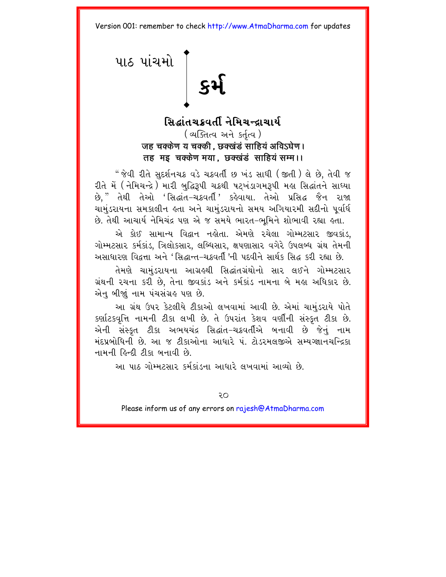# <span id="page-23-0"></span> $\begin{bmatrix} 1 & 0 & 0 \\ 0 & 0 & 0 \\ 0 & 0 & 0 \\ 0 & 0 & 0 \\ 0 & 0 & 0 \\ 0 & 0 & 0 \\ 0 & 0 & 0 \\ 0 & 0 & 0 \\ 0 & 0 & 0 \\ 0 & 0 & 0 \\ 0 & 0 & 0 \\ 0 & 0 & 0 \\ 0 & 0 & 0 \\ 0 & 0 & 0 \\ 0 & 0 & 0 \\ 0 & 0 & 0 \\ 0 & 0 & 0 \\ 0 & 0 & 0 \\ 0 & 0 & 0 \\ 0 & 0 & 0 & 0 \\ 0 & 0 & 0 & 0 \\ 0 & 0 & 0 & 0 \\ 0 & 0 &$

# સિદ્ધાંતચક્રવર્તી નેમિચન્દ્રાચાર્ય (व्यक्तित्व अने sर्तृत्व) जह चक्केण य चक्की . छक्खंडं साहियं अविऽघेण। तह मइ चक्केण मया. छक्खंडं साहियं सम्म।।

" જેવી રીતે સદર્શનચક્ર વડે ચક્રવર્તી છ ખંડ સાધી ( જીતી ) લે છે. તેવી જ રીતે મેં (નેમિચન્દ્રે) મારી બુદ્ધિરૂપી ચક્રથી પટખંડાગમરૂપી મહા સિદ્ધાંતને સાધ્યા છે." તેથી તેઓ 'સિદ્ધાંત-ચક્રવર્તી' કહેવાયા. તેઓ પ્રસિદ્ધ જૈન રાજા ચામુંડરાયના સમકાલીન હતા અને ચામુંડરાયનો સમય અગિયારમી સદીનો પૂર્વાર્ધ છે. તેથી આચાર્ય નેમિચંદ્ર પણ એ જ સમયે ભારત–ભૂમિને શોભાવી રહ્યા હતા.

એ કોઈ સામાન્ય વિદ્વાન નહોતા. એમણે રચેલા ગોમ્મટસાર જીવકાંડ, ગોમ્મટસાર કર્મકાંડ, ત્રિલોકસાર, લબ્ધિસાર, ક્ષપણાસાર વગેરે ઉપલબ્ધ ગ્રંથ તેમની અસાધારણ વિદ્વત્તા અને 'સિદ્ધાન્ત-ચક્રવર્તી 'ની પદવીને સાર્થક સિદ્ધ કરી રહ્યા છે.

તેમણે ચામુંડરાયના આગ્રહથી સિદ્ધાંતગ્રંથોનો સાર લઈને ગોમ્મટસાર ગ્રંથની રચના કરી છે, તેના જીવકાંડ અને કર્મકાંડ નામના બે મહા અધિકાર છે. એન બીજાં નામ પંચસંગ્રહ પણ છે.

આ ગ્રંથ ઉપર કેટલીયે ટીકાઓ લખવામાં આવી છે. એમાં ચામુંડરાયે પોતે કર્ણાટકવૃત્તિ નામની ટીકા લખી છે. તે ઉપરાંત કેશવ વર્ણીની સંસ્કૃત ટીકા છે. એની સંસ્કૃત ટીકા અભયચંદ્ર સિદ્ધાંત–ચક્રવર્તીએ બનાવી છે જેનું નામ મંદપ્રબોધિની છે. આ જ ટીકાઓના આધારે પં. ટોડરમલજીએ સમ્યગ્જ્ઞાનચન્દ્રિકા નામની હિન્દી ટીકા બનાવી છે.

આ પાઠ ગોમ્મટસાર કર્મકાંડના આધારે લખવામાં આવ્યો છે.

Οç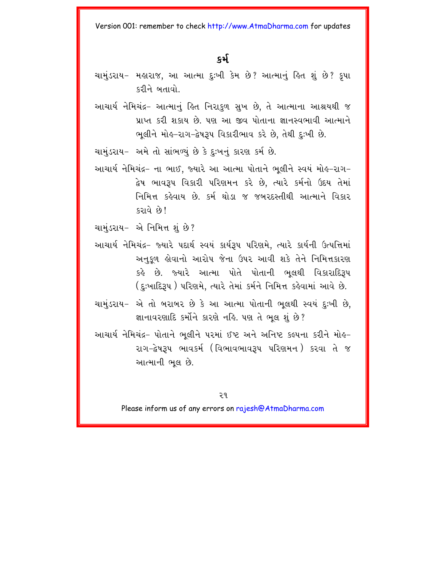#### કર્મ

- ચામુંડરાય– મહારાજ, આ આત્મા દુઃખી કેમ છે? આત્માનું હિત શું છે? કૃપા કરીને બતાવો
- આચાર્ય નેમિચંદ્ર– આત્માનું હિત નિરાકળ સખ છે. તે આત્માના આશ્રયથી જ પ્રાપ્ત કરી શકાય છે. પણ આ જીવ પોતાના જ્ઞાનસ્વભાવી આત્માને ભૂલીને મોહ-રાગ-દ્વેષરૂપ વિકારીભાવ કરે છે, તેથી દુઃખી છે.

ચામંડરાય– અમે તો સાંભળ્યં છે કે દઃખનં કારણ કર્મ છે.

આચાર્ય નેમિચંદ્ર– ના ભાઈ. જ્યારે આ આત્મા પોતાને ભલીને સ્વયં મોહ-રાગ– દ્વેષ ભાવરૂપ વિકારી પરિણમન કરે છે, ત્યારે કર્મનો ઉદય તેમાં નિમિત્ત કહેવાય છે. કર્મ થોડા જ જબરદસ્તીથી આત્માને વિકાર કરાવે છે!

ચામુંડરાય- એ નિમિત્ત શું છે?

- આચાર્ય નેમિચંદ્ર– જ્યારે પદાર્થ સ્વયં કાર્યરૂપ પરિણમે, ત્યારે કાર્યની ઉત્પત્તિમાં અનુકુળ હોવાનો આરોપ જેના ઉપર આવી શકે તેને નિમિત્તકારણ કહે છે. જ્યારે આત્મા પોતે પોતાની ભુલથી વિકારાદિરૂપ (દુઃખાદિરૂપ ) પરિણમે, ત્યારે તેમાં કર્મને નિમિત્ત કહેવામાં આવે છે.
- ચામુંડરાય– એ તો બરાબર છે કે આ આત્મા પોતાની ભલથી સ્વયં દઃખી છે. જ્ઞાનાવરણાદિ કર્મોને કારણે નહિ. પણ તે ભલ શું છે?
- આચાર્ય નેમિચંદ્ર- પોતાને ભલીને પરમાં ઈષ્ટ અને અનિષ્ટ કલ્પના કરીને મોહ-રાગ-દ્વેષરૂપ ભાવકર્મ (વિભાવભાવરૂપ પરિણમન) કરવા તે જ આત્માની ભલ છે.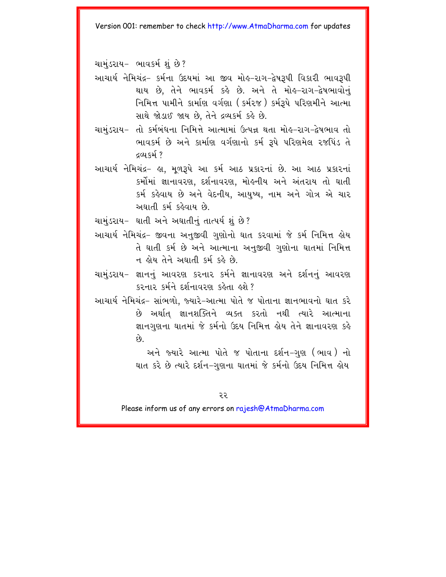ચામંડરાય- ભાવકર્મ શું છે?

- આચાર્ય નેમિચંદ્ર– કર્મના ઉદયમાં આ જીવ મોલ્-રાગ-દ્વેષરૂપી વિકારી ભાવરૂપી થાય છે, તેને ભાવકર્મ કહે છે. અને તે મોહ-રાગ-દ્વેષભાવોનું નિમિત્ત પામીને કાર્માણ વર્ગણા (કર્મ૨જ઼) કર્મરૂપે પરિણમીને આત્મા સાથે જોડાઈ જાય છે. તેને દ્રવ્યકર્મ કહે છે.
- ચામુંડરાય– તો કર્મબંધના નિમિત્તે આત્મામાં ઉત્પન્ન થતા મોહ-રાગ-દ્વેષભાવ તો ભાવકર્મ છે અને કાર્માણ વર્ગણાનો કર્મ રૂપે પરિણમેલ રજપિંડ તે **દલ્ય** કર્મ ?
- આચાર્ય નેમિચંદ્ર– હા. મળરૂપે આ કર્મ આઠ પ્રકારનાં છે. આ આઠ પ્રકારનાં કર્મોમાં જ્ઞાનાવરણ, દર્શનાવરણ, મોલ્નીય અને અંતરાય તો ઘાતી કર્મ કહેવાય છે અને વેદનીય, આયુષ્ય, નામ અને ગોત્ર એ ચાર અઘાતી કર્મ કહેવાય છે.
- ચામંડરાય– ઘાતી અને અઘાતીનં તાત્પર્ય શં છે?
- આચાર્ય નેમિચંદ્ર– જીવના અનુજીવી ગુણોનો ઘાત કરવામાં જે કર્મ નિમિત્ત હોય તે ઘાતી કર્મ છે અને આત્માના અનુજીવી ગુણોના ઘાતમાં નિમિત્ત ન હોય તેને અઘાતી કર્મ કહે છે.
- ચામુંડરાય– જ્ઞાનનું આવરણ કરનાર કર્મને જ્ઞાનાવરણ અને દર્શનનું આવરણ  $k$ २ ला२ हर्मने दर्शनायरण हुईता हुशे
- આચાર્ય નેમિચંદ્ર– સાંભળો, જ્યારે–આત્મા પોતે જ પોતાના જ્ઞાનભાવનો ઘાત કરે છે અર્થાત જ્ઞાનશક્તિને વ્યક્ત કરતો નથી ત્યારે આત્માના જ્ઞાનગુણના ઘાતમાં જે કર્મનો ઉદય નિમિત્ત હોય તેને જ્ઞાનાવરણ કહે  $\hat{\mathfrak{g}}$ .

અને જ્યારે આત્મા પોતે જ પોતાના દર્શન-ગુણ (ભાવ) નો ઘાત કરે છે ત્યારે દર્શન-ગુણના ઘાતમાં જે કર્મનો ઉદય નિમિત્ત હોય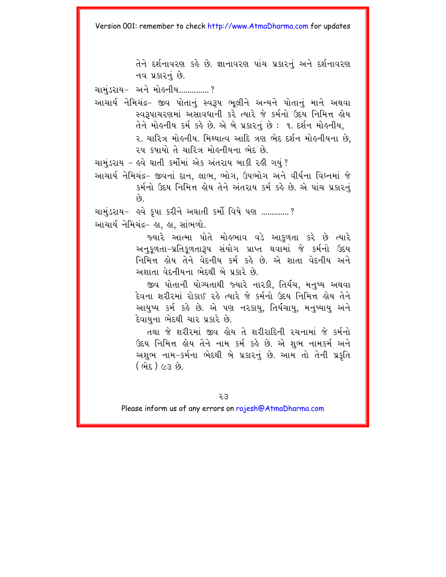તેને દર્શનાવરણ કહે છે. જ્ઞાનાવરણ પાંચ પ્રકારનું અને દર્શનાવરણ નવ પ્રકારનં છે.

ચામંડરાય- અને મો*હ*નીય..............?

આચાર્ય નેમિચંદ્ર– જીવ પોતાનું સ્વરૂપ ભુલીને અન્યને પોતાનું માને અથવા સ્વરૂપાચરણમાં અસાવધાની કરે ત્યારે જે કર્મનો ઉદય નિમિત્ત હોય  $d\mathbf{r}$  મોહનીય કર્મ કહે છે. એ બે પ્રકારનું છે: ૧. દર્શન મોહનીય,

> ૨. ચારિત્ર મોહનીય. મિથ્યાત્વ આદિ ત્રણ ભેદ દર્શન મોહનીયના છે. ૨૫ કષાયો તે ચારિત્ર મોહનીયના ભેદ છે.

ચામુંડરાય – હવે ઘાતી કર્મોમાં એક અંતરાય બાકી રહી ગયું ?

આચાર્ય નેમિચંદ્ર– જીવનાં દાન, લાભ, ભોગ, ઉપભોગ અને વીર્યના વિઘ્નમાં જે કર્મનો ઉદય નિમિત્ત હોય તેને અંતરાય કર્મ કહે છે. એ પાંચ પ્રકારનું  $\hat{\rho}$ 

ચામુંડરાય- હવે કૃપા કરીને અઘાતી કર્મો વિષે પણ .............? આચાર્યનેમિચંદ્ર- હા, હા, સાંભળો.

> જ્યારે આત્મા પોતે મોહભાવ વડે આકુળતા કરે છે ત્યારે અનુકુળતા-પ્રતિકુળતારૂપ સંયોગ પ્રાપ્ત થવામાં જે કર્મનો ઉદય નિમિત્ત હોય તેને વેદનીય કર્મ કહે છે. એ શાતા વેદનીય અને અશાતા વેદનીયના ભેદથી બે પ્રકારે છે.

> જીવ પોતાની યોગ્યતાથી જ્યારે નારકી. તિર્યચ, મનુષ્ય અથવા દેવના શરીરમાં રોકાઈ રહે ત્યારે જે કર્મનો ઉદય નિમિત્ત હોય તેને આયુષ્ય કર્મ કહે છે. એ પણ નરકાયુ, તિર્યચાયુ, મનુષ્યાયુ અને દેવાયના ભેદથી ચાર પ્રકારે છે.

> તથા જે શરીરમાં જીવ હોય તે શરીરાદિની રચનામાં જે કર્મનો ઉદય નિમિત્ત હોય તેને નામ કર્મ કહે છે. એ શુભ નામકર્મ અને અશુભ નામ–કર્મના ભેદથી બે પ્રકારનું છે. આમ તો તેની પ્રકૃતિ  $(\theta$ તેદ) ૯૩ છે.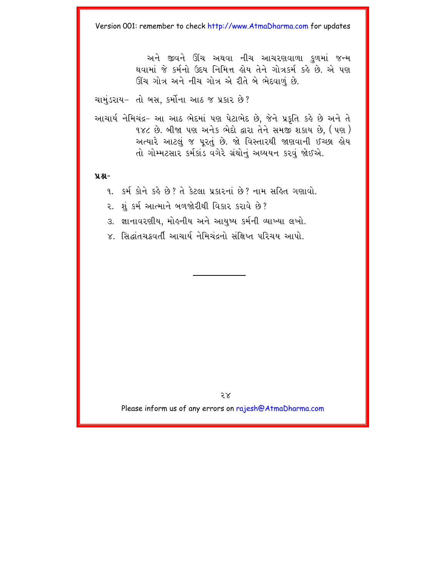અને જીવને ઊંચ અથવા નીચ આચરણવાળા કળમાં જન્મ થવામાં જે કર્મનો ઉદય નિમિત્ત હોય તેને ગોત્રકર્મ કહે છે. એ પણ ઊંચ ગોત્ર અને નીચ ગોત્ર એ રીતે બે ભેદવાળું છે.

ચામુંડરાય- તો બસ, કર્મોના આઠ જ પ્રકાર છે?

આચાર્ય નેમિચંદ્ર- આ આઠ ભેદમાં પણ પેટાભેદ છે. જેને પ્રકૃતિ કહે છે અને તે ૧૪૮ છે. બીજા પણ અનેક ભેદો દ્વારા તેને સમજી શકાય છે. (પણ) અત્યારે આટલું જ પુરતું છે. જો વિસ્તારથી જાણવાની ઈચ્છા હોય તો ગોમ્મટસાર કર્મકાંડ વગેરે ગ્રંથોનું અઘ્યયન કરવું જોઈએ.

પ્રશ્ન-

- ૧. કર્મ કોને કહે છે? તે કેટલા પ્રકારનાં છે? નામ સહિત ગણાવો.
- ૨. શંકર્મ આત્માને બળજોરીથી વિકાર કરાવે છે?
- ૩. જ્ઞાનાવરણીય, મોઙ્નીય અને આયુષ્ય કર્મની વ્યાખ્યા લખો.
- ૪. સિદ્ધાંતચક્રવર્તી આચાર્ય નેમિચંદ્રનો સંક્ષિપ્ત પરિચય આપો.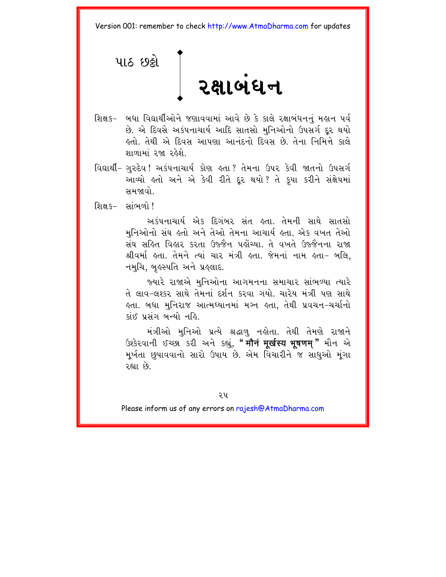<span id="page-28-0"></span>

- શિક્ષક- બધા વિદ્યાર્થીઓને જણાવવામાં આવે છે કે કાલે રક્ષાબંધનનું મહાન પર્વ છે. એ દિવસે અકંપનાચાર્ય આદિ સાતસો મુનિઓનો ઉપસર્ગ દૂર થયો હતો. તેથી એ દિવસ આપણા આનંદનો દિવસ છે. તેના નિમિત્તે કાલ<mark>ે</mark> ગાળામાં રજા રહેશે
- વિદ્યાર્થી- ગુરુદેવ !અકંપનાચાર્ય કોણ હતા ? તેમના ઉપર કેવી જાતનો ઉપસર્ગ આવ્યો હતો અને એ કેવી રીતે દૂર થયો? તે કૃપા કરીને સંક્ષેપમાં સમજાવો.
- શિક્ષક- સાંભળો!

અકંપનાચાર્ય એક દિગંબર સંત હતા. તેમની સાથે સાતસો મુનિઓનો સંઘ લ્તો અને તેઓ તેમના આચાર્ય લ્તા. એક વખત તેઓ સંઘ સહિત વિહાર કરતા ઉજ્જૈન પહોંચ્યા. તે વખતે ઉજ્જૈનના રાજા શ્રીવર્મા હતા. તેમને ત્યાં ચાર મંત્રી હતા. જેમનાં નામ હતા- બલિ, નમુચિ, બુલ્સ્પતિ અને પ્રલ્લાદ.

જ્યારે રાજાએ મનિઓના આગમનના સમાચાર સાંભળ્યા ત્યારે તે લાવ-લશ્કર સાથે તેમનાં દર્શન કરવા ગયો. ચારેય મંત્રી પણ સાથે લ્તા. બધા મુનિરાજ આત્મધ્યાનમાં મગ્ન લ્તા, તેથી પ્રવચન−ચર્ચાનો કાંઈ પસંગ બન્યો નહિ

મંત્રીઓ મુનિઓ પ્રત્યે શ્રદ્ધાળુ નહોતા. તેથી તેમણે રાજાને ઉશ્કેરવાની ઈચ્છા કરી અને કહ્યું, "मौनं मूर्खस्य भूषणम्" મૌન એ મૂર્ખતા છુપાવવાનો સારો ઉપાય છે. એમ વિચારીને જ સાધુઓ મૂંગા રહ્યા છે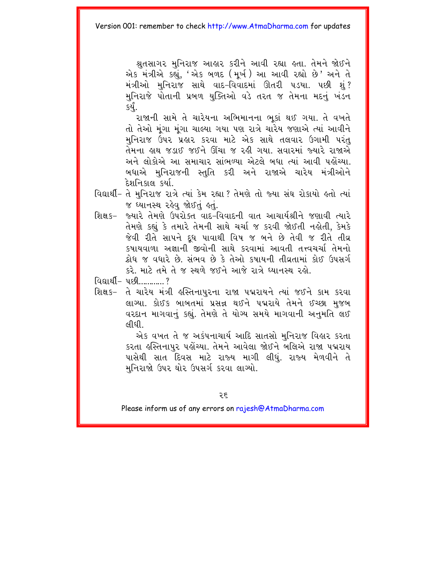શ્રતસાગર મુનિરાજ આહાર કરીને આવી રહ્યા હતા. તેમને જોઈને એક મંત્રીએ કહ્યું, 'એક બળદ (મૂર્ખ) આ આવી રહ્યો છે' અને તે મંત્રીઓ મનિરાજ સાથે વાદ-વિવાદમાં ઊતરી પડયા. પછી શં? મુનિરાજે પોતાની પ્રબળ યુક્તિઓ વડે તરત જ તેમના મદનું ખંડન કર્યું.

રાજાની સામે તે ચારેયના અભિમાનના ભકાં થઈ ગયા. તે વખતે તો તેઓ મુંગા મુંગા ચાલ્યા ગયા પણ રાત્રે ચારેય જણાએ ત્યાં આવીને મુનિરાજ ઉપર પ્રહાર કરવા માટે એક સાથે તલવાર ઉગામી પરંતુ તેમના હાથ જડાઈ જઈને ઊંચા જ રહી ગયા. સવારમાં જ્યારે રાજાએ અને લોકોએ આ સમાચાર સાંભળ્યા એટલે બધા ત્યાં આવી પહોંચ્યા. બધાએ મનિરાજની સ્તતિ કરી અને રાજાએ ચારેય મંત્રીઓને દેશનિકાલ કર્યા

- વિદ્યાર્થી- તે મુનિરાજ રાત્રે ત્યાં કેમ રહ્યા ? તેમણે તો જ્યા સંઘ રોકાયો હતો ત્યાં જ ઘ્યાનસ્થ રહેવ જોઈતું હતું.
- જ્યારે તેમણે ઉપરોક્ત વાદ-વિવાદની વાત આચાર્યશ્રીને જણાવી ત્યારે શિક્ષ ક– તેમણે કહ્યું કે તમારે તેમની સાથે ચર્ચા જ કરવી જોઈતી નહોતી, કેમકે જેવી રીતે સાપને દૂધ પાવાથી વિષ જ બને છે તેવી જ રીતે તીવ્ર કષાયવાળા અજ્ઞાની જીવોની સાથે કરવામાં આવતી તત્ત્વચર્ચા તેમનો ક્રોધ જ વધારે છે. સંભવ છે કે તેઓ કૃષાયની તીવ્રતામાં કોઈ ઉપસર્ગ કરે. માટે તમે તે જ સ્થળે જઈને આજે રાત્રે ઘ્યાનસ્થ રહો.
- વિદ્યાર્થી- પછી............?
- શિક્ષક- તે ચારેય મંત્રી હસ્તિનાપુરના રાજા પદ્મરાયને ત્યાં જઈને કામ કરવા લાગ્યા. કોઈક બાબતમાં પ્રસન્ન થઈને પદ્મરાયે તેમને ઈચ્છા મુજબ વરદાન માગવાનું કહ્યું. તેમણે તે યોગ્ય સમયે માગવાની અનુમતિ લઈ *લ*ીદી

એક વખત તે જ અકંપનાચાર્ય આદિ સાતસો મુનિરાજ વિહાર કરતા કરતા હસ્તિનાપુર પહોંચ્યા. તેમને આવેલા જોઈને બલિએ રાજા પદ્મરાય પાસેથી સાત દિવસ માટે રાજ્ય માગી લીધું. રાજ્ય મેળવીને તે મુનિરાજો ઉપર ઘોર ઉપસર્ગ કરવા લાગ્યો.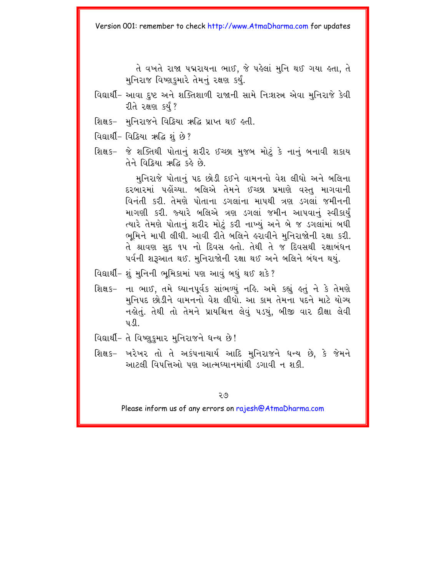તે વખતે રાજા પદ્મરાયના ભાઈ, જે પહેલાં મુનિ થઈ ગયા હતા, તે મુનિરાજ વિષ્ણુકુમારે તેમનું રક્ષણ કર્યું.

- વિદ્યાર્થી- આવા દુષ્ટ અને શક્તિશાળી રાજાની સામે નિઃશસ્ત્ર એવા મુનિરાજે કેવી રીતે રક્ષણ કર્યં ?
- શિક્ષક- મુનિરાજને વિક્રિયા ઋદ્ધિ પ્રાપ્ત થઈ હતી.
- વિદ્યાર્થી- વિક્રિયા ઋદ્ધિ શું છે?
- શિક્ષક- જે શક્તિથી પોતાનું શરીર ઈચ્છા મુજબ મોટું કે નાનું બનાવી શકાય र्मने विश्रिया ऋदि इर्ड छे

મુનિરાજે પોતાનું પદ છોડી દઈને વામનનો વેશ લીધો અને બલિના દરબારમાં પહોંચ્યા. બલિએ તેમને ઈચ્છા પ્રમાણે વસ્ત માગવાની વિનંતી કરી. તેમણે પોતાના ડગલાંના માપથી ત્રણ ડગલાં જમીનની માગણી કરી. જ્યારે બલિએ ત્રણ ડગલાં જમીન આપવાનું સ્વીકાર્યં ત્યારે તેમણે પોતાનં શરીર મોટં કરી નાખ્યં અને બે જ ડગલાંમાં બધી ભૂમિને માપી લીધી. આવી રીતે બલિને હરાવીને મુનિરાજોની રક્ષા કરી. તે શ્રાવણ સદ ૧૫ નો દિવસ હતો. તેથી તે જ દિવસથી રક્ષાબંધન પર્વની શરૂઆત થઈ. મુનિરાજોની રક્ષા થઈ અને બલિને બંધન થયું.

- વિદ્યાર્થી- શું મુનિની ભુમિકામાં પણ આવું બધું થઈ શકે?
- ના ભાઈ. તમે ઘ્યાનપર્વક સાંભળ્યં નહિ. અમે કહ્યું હતું ને કે તેમણે શિક્ષક− મનિપદ છોડીને વામનનો વેશ લીધો. આ કામ તેમના પદને માટે યોગ્ય નહોતું. તેથી તો તેમને પ્રાયશ્ચિત્ત લેવું ૫ડયું, બીજી વાર દીક્ષા લેવી  $\mathbf{u} \mathbf{v}$
- વિદ્યાર્થી- તે વિષ્ણુકુમાર મુનિરાજને ધન્ય છે!
- શિક્ષક- ખરેખર તો તે અકંપનાચાર્ય આદિ મુનિરાજને ધન્ય છે, કે જેમને આટલી વિપત્તિઓ પણ આત્મધ્યાનમાંથી ડગાવી ન શકી.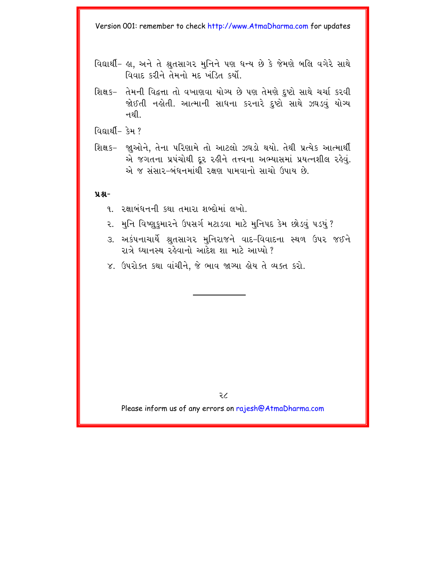- વિદ્યાર્થી- હા. અને તે શ્રતસાગર મુનિને પણ ધન્ય છે કે જેમણે બલિ વગેરે સાથે વિવાદ કરીને તેમનો મદ ખંડિત કર્યો
- શિક્ષક− તેમની વિદ્વત્તા તો વખાણવા યોગ્ય છે પણ તેમણે દૃષ્ટો સાથે ચર્ચા કરવી જોઈતી નહોતી. આત્માની સાધના કરનારે દષ્ટો સાથે ઝઘડવં યોગ્ય ન થી
- વિદ્યા*ર્થી* કેમ ?
- શિક્ષક– જાૂઓને, તેના પરિણામે તો આટલો ઝઘડો થયો. તેથી પ્રત્યેક આત્માર્થી એ જગતના પ્રપંચોથી દૂર રહીને તત્ત્વના અભ્યાસમાં પ્રયત્નશીલ રહેવું. એ જ સંસાર–બંધનમાંથી રક્ષણ પામવાનો સાચો ઉપાય છે.

#### **ÝÆ-**

- 1. રક્ષાબંધનની કથા તમારા શબ્દોમાં લખો
- ૨. મુનિ વિષ્ણુકુમારને ઉપસર્ગ મટાડવા માટે મુનિપદ કેમ છોડવું પડયું ?
- ૩. અકંપનાચાર્યે શ્રુતસાગર મુનિરાજને વાદ-વિવાદના સ્થળ ઉપર જઈને રાત્રે ધ્યાનસ્થ રહેવાનો આદેશ શા માટે આપ્યો ?
- ૪. ઉપરોક્ત કથા વાંચીને, જે ભાવ જાગ્યા હોય તે વ્યક્ત કરો.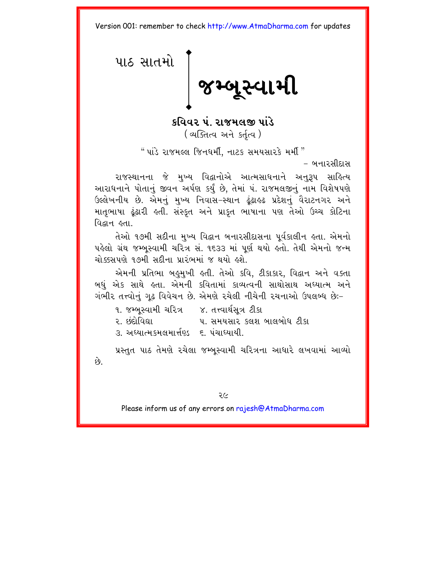<span id="page-32-0"></span>પાઠ સાતમ<mark>ો</mark> ∣ જમ્બૂસ્વામી

કવિવર પં. રાજમલજી પાંડે (व्यक्तित्व अने sर्तृत्व)

" પાંડે રાજમલ્લ $\,$  જિનધર્મી, નાટક સમયસારકે મર્મી $^{\prime\prime}$ 

– બનારસીદાસ

રાજસ્થાનના જે મુખ્ય વિદ્વાનોએ આત્મસાધનાને અનુરૂપ સાહિત્ય આરાધનાને પોતાનું જીવન અર્પણ કર્યું છે. તેમાં પં. રાજમલજીનું નામ વિશેષપણે ઉલ્લેખનીય છે. એમનું મુખ્ય નિવાસ-સ્થાન ઢુંઢાલ્ઢ પ્રદેશનું વૈરાટનગર અને માતૃભાષા ઢુંઢારી હતી. સંસ્કૃત અને પ્રાકૃત ભાષાના પણ તેઓ ઉચ્ચ કોટિના विद्यम छता।

તેઓ ૧૭મી સદીના મુખ્ય વિદ્વાન બનારસીદાસના પૂર્વકાલીન હતા. એમનો પહેલો ગ્રંથ જમ્બસ્વામી ચરિત્ર સં. ૧૬૩૩ માં પૂર્ણ થયો હતો. તેથી એમનો જન્મ ચોક્કસપણે ૧૭મી સદીના પ્રારંભમાં જ થયો હશે.

એમની પ્રતિભા બહુમુખી હતી. તેઓ કવિ, ટીકાકાર, વિદ્વાન અને વક્તા બધં એક સાથે હતા. એમની કવિતામાં કાવ્યત્વની સાથોસાથ અઘ્યાત્મ અને ગંભીર તત્ત્વોનું ગૃઢ વિવેચન છે. એમણે રચેલી નીચેની રચનાઓ ઉપલબ્ધ છેઃ-

- ૧. જમ્બસ્વામી ચરિત્ર કિ. તત્ત્વાર્થસત્ર ટીકા
- ર. છંદોવિદ્યા પ. સમયસાર કલશ બાલબોધ ટીકા
- ૩. અઘ્યાત્મકમલમાર્ત્તણ્ડ ૬. પંચાઘ્યાયી.

પ્રસ્તુત પાઠ તેમણે રચેલા જમ્બૂસ્વામી ચરિત્રના આધારે લખવામાં આવ્યો  $\hat{g}$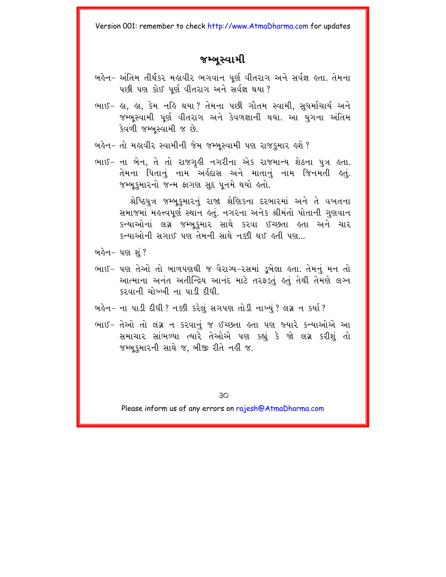## જમ્બુસ્વામી

- બહેન- અંતિમ તીર્થકર મહાવીર ભગવાન પર્ણ વીતરાગ અને સર્વજ્ઞ હતા. તેમના પછી પણ કોઈ પૂર્ણ વીતરાગ અને સર્વજ્ઞ થયા ?
- ભાઈ- હા, હા, કેમ નહિ થયા? તેમના પછી ગૌતમ સ્વામી, સુધર્માચાર્ય અને જમ્બુસ્વામી પૂર્ણ વીતરાગ અને કેવળજ્ઞાની થયા. આ યુગના અંતિમ કેવળી જમ્બુસ્વામી જ છે.
- બહેન- તો મહાવીર સ્વામીની જેમ જમ્બુસ્વામી પણ રાજકુમાર હશે ?
- ભાઈ- ના બેન, તે તો રાજગઢી નગરીના એક રાજમાન્ય શેઠના પુત્ર હતા. તેમના પિતાનું નામ અર્લ્રદાસ અને માતાનું નામ જિનમતી લ્તું. જમ્બુકુમારનો જન્મ ફાગણ સુદ પુનમે થયો હતો.

શ્રેષ્ઠિપત્ર જમ્બકમારનં રાજા શ્રેણિકના દરબારમાં અને તે વખતના સમાજમાં મહત્ત્વપર્ણ સ્થાન હતં. નગરના અનેક શ્રીમંતો પોતાની ગણવાન કન્યાઓનાં લગ્ન જમ્બકમાર સાથે કરવા ઈચ્છતા હતા અને ચાર <u>કન્યાઓની સગાઈ પણ તેમની સાથે નક્કી થઈ હતી પણ...</u>

બહેન− પણ શું ?

- ભાઈ- પણ તેઓ તો બાળપણથી જ વૈરાગ્ય-રસમાં ડબેલા હતા. તેમનં મન તો આત્માના અનંત અતીન્દ્રિય આનંદ માટે તરફડતું હતું તેથી તેમણે લગ્ન કરવાની ચોખ્ખી ના પાડી દીધી.
- બહેન- ના પાડી દીધી ? નક્કી કરેલું સગપણ તોડી નાખ્યું ? લગ્ન ન કર્યા ?
- ભાઈ- તેઓ તો લગ્ન ન કરવાનું જ ઈચ્છતા હતા પણ જ્યારે કન્યાઓએ આ સમાચાર સાંભળ્યા ત્યારે તેઓએ પણ કહ્યું કે જો લગ્ન કરીશું તો જમ્બુકુમારની સાથે જ, બીજી રીતે નહી જ.

 $30$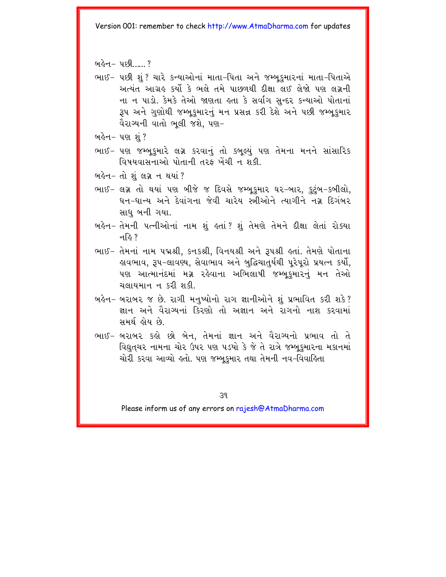<u>બહેન– પછી 2</u>

- ભાઈ- પછી શં ? ચારે કન્યાઓનાં માતા-પિતા અને જમ્બકમારનાં માતા-પિતાએ અત્યંત આગ્રહ કર્યો કે ભલે તમે પાછળથી દીક્ષા લઈ લેજો પણ લગ્નની ના ન પાડો. કેમકે તેઓ જાણતા હતા કે સર્વાગ સન્દર કન્યાઓ પોતાનાં રૂપ અને ગુણોથી જમ્બૂકુમારનું મન પ્રસન્ન કરી દેશે અને પછી જમ્બૂકુમાર વૈરાગ્યની વાતો ભલી જશે. પણ-
- બહેન- પણ શું ?
- ભાઈ- પણ જમ્બુકમારે લગ્ન કરવાનું તો કબુલ્યું પણ તેમના મનને સાંસારિક વિષયવાસનાઓ પોતાની તરફ ખેંચી ન શકી.

બહેન- તો શંલગ્ન ન થયાં ?

- ભાઈ- લગ્ન તો થયાં પણ બીજે જ દિવસે જમ્બૂકમાર ઘર-બાર, કુટુંબ-કબીલો, ધન-ધાન્ય અને દેવાંગના જેવી ચારેય સ્ત્રીઓને ત્યાગીને નગ્ન દિગંબર સાધ બની ગયા.
- બહેન– તેમની પત્નીઓનાં નામ શું હતાં? શું તેમણે તેમને દીક્ષા લેતાં રોક્યા न $\approx$  ?
- ભાઈ- તેમનાં નામ પદ્મશ્રી, કનકશ્રી, વિનયશ્રી અને રૂપશ્રી હતાં. તેમણે પોતાના લુવભાવ. ૩૫-લાવણ્ય. સેવાભાવ અને બદ્ધિચાતર્યથી પરેપરો પ્રયત્ન કર્યો. પણ આત્માનંદમાં મગ્ન રહેવાના અભિલાષી જમ્બકમારનં મન તેઓ ચલાયમાન ન કરી શકી
- બહેન- બરાબર જ છે. રાગી મનુષ્યોનો રાગ જ્ઞાનીઓને શું પ્રભાવિત કરી શકે? जान અને વૈરાગ્યનાં કિરણો તો અજ્ઞાન અને રાગનો નાશ કરવામાં સમર્થ હોય છે.
- ભાઈ- બરાબર કહો છો બેન, તેમનાં જ્ઞાન અને વૈરાગ્યનો પ્રભાવ તો તે વિદ્યુતચર નામના ચોર ઉપર પણ પડયો કે જે તે રાત્રે જમ્બુકમારના મકાનમાં ચોરી કરવા આવ્યો હતો. પણ જમ્બુકમાર તથા તેમની નવ-વિવાહિતા

 $39$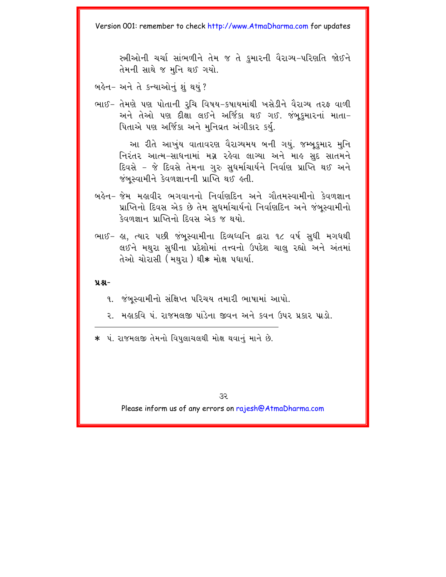સ્ત્રીઓની ચર્ચા સાંભળીને તેમ જ તે કુમારની વૈરાગ્ય-પરિણતિ જોઈને તેમની સાથે જ મનિ થઈ ગયો.

બહેન- અને તે કન્યાઓનું શું થયું ?

ભાઈ- તેમણે પણ પોતાની રૃચિ વિષય-કષાયમાંથી ખસેડીને વૈરાગ્ય તરફ વાળી અને તેઓ પણ દીક્ષા લઈને અર્જિકા થઈ ગઈ. જંબુકુમારનાં માતા-પિતાએ પણ અર્જિકા અને મુનિવ્રત અંગીકાર કર્યુ.

આ રીતે આખુંય વાતાવરણ વૈરાગ્યમય બની ગયું. જમ્બુકમાર મુનિ નિરંતર આત્મ-સાધનામાં મગ્ન રહેવા લાગ્યા અને માહ સદ સાતમને દિવસે - જે દિવસે તેમના ગુરુ સુધર્માચાર્યને નિર્વાણ પ્રાપ્તિ થઈ અને જંબસ્વામીને કેવળજ્ઞાનની પ્રાપ્તિ થઈ હતી.

- બહેન– જેમ મહાવીર ભગવાનનો નિર્વાણદિન અને ગૌતમસ્વામીનો કેવળજ્ઞાન પ્રાપ્તિનો દિવસ એક છે તેમ સુધર્માચાર્યનો નિર્વાણદિન અને જંબુસ્વામીનો કેવળજ્ઞાન પ્રાપ્તિનો દિવસ એક જ થયો.
- ભાઈ- હા, ત્યાર પછી જંબુસ્વામીના દિવ્યધ્વનિ દ્વારા ૧૮ વર્ષ સુધી મગધથી લઈને મથરા સધીના પ્રદેશોમાં તત્ત્વનો ઉપદેશ ચાલ રહ્યો અને અંતમાં તેઓ ચોરાસી (મથરા) થી∗ મોક્ષ પધાર્યા.

#### $9.8 -$

- ૧. જંબુસ્વામીનો સંક્ષિપ્ત પરિચય તમારી ભાષામાં આપો.
- ? મહાકવિ પં. રાજમલજી પાંડેના જીવન અને કવન ઉપર પ્રકાર પાડો.

\* પં. રાજમલજી તેમનો વિપુલાચલથી મોક્ષ થવાનું માને છે.

૩૨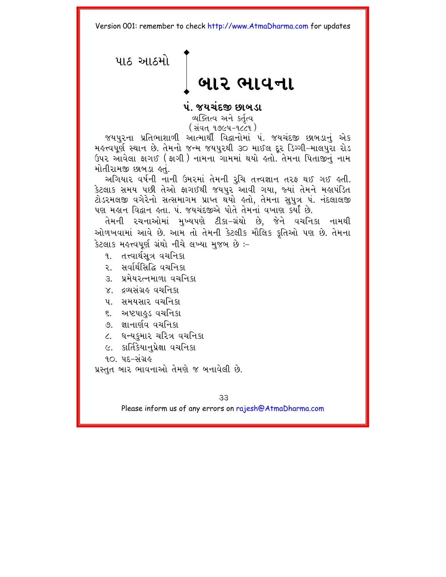<span id="page-36-0"></span>પાઠ આઠમો બાર ભાવના

પંજયચંદજી છાબડા

વ્યક્તિત્વ અને કર્તત્વ ( સંવત ૧૭૯૫-૧૮૮૧)

જયપરના પ્રતિભાશાળી આત્માર્થી વિદ્વાનોમાં પં. જયચંદજી છાબડાનં એક મહત્ત્વપૂર્ણ સ્થાન છે. તેમનો જન્મ જયપુરથી ૩૦ માઈલ દૂર ડિગ્ગી–માલપુરા રોડ ઉપર આવેલા ફાગઈ ( ફાગી ) નામના ગામમાં થયો હતો. તેમના પિતાજીનું નામ મોતીરામજી છાબડા હતું.

અગિયાર વર્ષની નાની ઉમરમાં તેમની રૂચિ તત્ત્વજ્ઞાન તરફ થઈ ગઈ હતી. કેટલાક સમય પછી તેઓ ફાગઈથી જયપુર આવી ગયા, જ્યાં તેમને મહાપંડિત ટોડરમલજી વગેરેનો સત્સમાગમ પ્રાપ્ત થયો હતો, તેમના સુપુત્ર પં. નંદલાલજી પણ મહાન વિદ્વાન હતા. પં. જયચંદજીએ પોતે તેમનાં વખાણ કર્યાં છે.

તેમની રચનાઓમાં મુખ્યપણે ટીકા–ગ્રંથો છે. જેને વચનિકા નામથી ઓળખવામાં આવે છે. આમ તો તેમની કેટલીક મૌલિક કૃતિઓ પણ છે. તેમના કેટલાક મહત્ત્વપૂર્ણ ગ્રંથો નીચે લખ્યા મુજબ છે :-

- ૧. તત્ત્વાર્થસત્ર વચનિકા
- २. सर्वार्थसिद्धि वयनिक्ष
- ३ प्रमेय२त्नमाणां वयनिश
- $X = 6$ यसंग्रह प्रथनिक्ष
- ૫. સમયસાર વચનિકા
- ૬. અષ્ટપાઢુડ વચનિકા
- ७ । ज्ञानार्णव वयनिक्ष
- ૮. ધન્યકમાર ચરિત્ર વચનિકા
- ૯. કાર્તિકેયાનુપ્રેક્ષા વચનિકા
- $90 45 398$

પ્રસ્તત બાર ભાવનાઓ તેમણે જ બનાવેલી છે.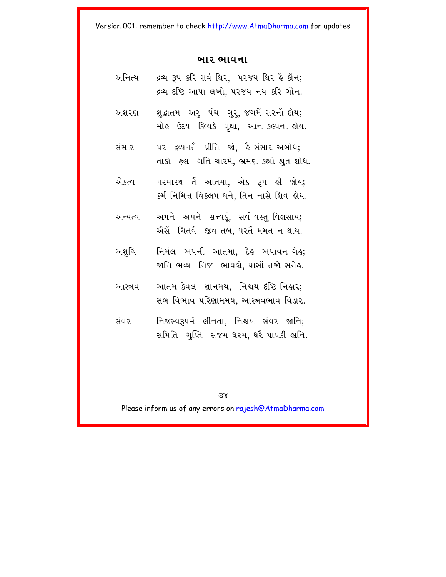#### બાર ભાવના

| અનિત્ય  | દ્રવ્ય રૂપ કરિ સર્વ થિર,  ૫૨જય થિર હૈ કૌન;<br>દ્રવ્ય દષ્ટિ આપા લખો, ૫૨જય નય કરિ ગૌન.     |
|---------|------------------------------------------------------------------------------------------|
| અશરણ    | શુદ્ધાતમ અરુ પંચ ગુરુ, જગમેં સરનૌ દોય;<br>મોહ ઉદય જિયકે વૃથા, આન કલ્પના હોય.             |
| સંસાર   | ૫૨ દ્રવ્યનતૈં પ્રીતિ જો, હૈ સંસાર અબોધ;<br>તાકો  ફ્લ  ગતિ ચારમેં, ભ્રમણ કહ્યો શ્રુત શોધ. |
| એકત્વ   | પરમારથ તેં આતમા, એક રૂપ હી જોય;<br>કર્મ નિમિત્ત વિકલપ ઘને, તિન નાસે શિવ હોય.             |
| અન્યત્વ | અપને અપને સત્ત્વકું, સર્વવસ્તુવિલસાય;<br>એેસેં ચિતવૈ જીવ તબ, પરતેં મમત ન થાય.            |
| અશુચિ   | નિર્મલ અપની આતમા, દેહ અપાવન <sup>્</sup> ગેહ;<br>જાનિ ભવ્ય  નિજ  ભાવકો, યાસોં તજો સનેહ.  |
| આસ્ત્રવ | આતમ કેવલ જ્ઞાનમય, નિશ્ચય−દષ્ટિ નિહાર;<br>સબ વિભાવ પરિણામમય, આસ્ત્રવભાવ વિડાર.            |
| સંવર    | નિજસ્વરૂપમેં લીનતા, નિશ્ચય સંવર જાનિ;<br>સમિતિ ગુપ્તિ સંજમ ધરમ, ધરૈ પાપકી હાનિ.          |

 $3x$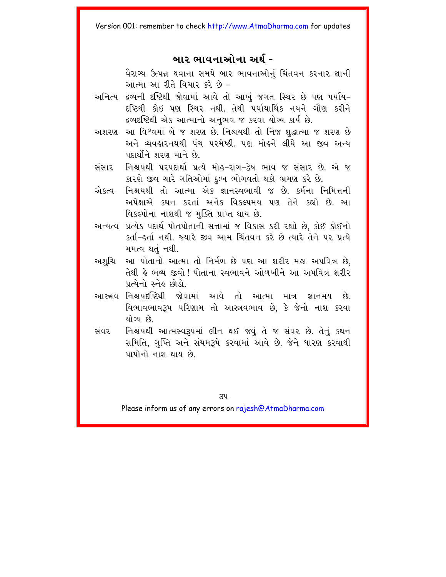# બાર ભાવનાઓના અર્થ -

વૈરાગ્ય ઉત્પન્ન થવાના સમયે બાર ભાવનાઓનં ચિંતવન કરનાર જ્ઞાની આત્મા આ રીતે વિચાર કરે છે –

- અનિત્ય દ્રવ્યની દૃષ્ટિથી જોવામાં આવે તો આખું જગત સ્થિર છે પણ પર્યાય-દષ્ટિથી કોઇ પણ સ્થિર નથી. તેથી પર્યાયાર્થિક નયને ગૌણ કરીને દ્રવ્યદષ્ટિથી એક આત્માનો અનુભવ જ કરવા યોગ્ય કાર્ય છે.
- અશરણ આ વિશ્વમાં બે જ શરણ છે. નિશ્ચયથી તો નિજ શુદ્ધાત્મા જ શરણ છે અને વ્યવહારનયથી પંચ પરમેષ્ઠી. પણ મોહને લીધે આ જીવ અન્ય પદાર્થોને શરણ માને છે.
- નિશ્ચયથી પરપદાર્થો પ્રત્યે મોહ-રાગ-દ્વેષ ભાવ જ સંસાર છે. એ જ સંસાર કારણે જીવ ચારે ગતિઓમાં દુઃખ ભોગવતો થકો ભ્રમણ કરે છે.
- એકત્વ, નિશ્ચયથી તો આત્મા એક જ્ઞાનસ્વભાવી જ છે. કર્મના નિમિત્તની અપેક્ષાએ કથન કરતાં અનેક વિકલ્પમય પણ તેને કહ્યો છે આ વિકલ્પોના નાશથી જ મક્તિ પ્રાપ્ત થાય છે.
- અન્યત્વ પ્રત્યેક પદાર્થ પોતપોતાની સત્તામાં જ વિકાસ કરી રહ્યો છે, કોઈ કોઈનો કર્તા-લ્ર્તા નથી. જ્યારે જીવ આમ ચિંતવન કરે છે ત્યારે તેને ૫૨ પ્રત્યે મમત્વ થતં નથી.
- આ પોતાનો આત્મા તો નિર્મળ છે પણ આ શરીર મહા અપવિત્ર છે. અશચિ તેથી હે ભવ્ય જીવો ! પોતાના સ્વભાવને ઓળખીને આ અપવિત્ર શરીર પ્રત્યેનો સ્નેહ છોડો.
- આસ્ત્રવ નિશ્ચયદષ્ટિથી જોવામાં આવે તો આત્મા માત્ર જ્ઞાનમય છે. વિભાવભાવરૂપ પરિણામ તો આસ્ત્રવભાવ છે, કે જેનો નાશ કરવા યોગ્ય છે
- સંવર નિશ્ચયથી આત્મસ્વરૂપમાં લીન થઈ જવું તે જ સંવર છે. તેનું કથન સમિતિ, ગુપ્તિ અને સંયમરૂપે કરવામાં આવે છે. જેને ધારણ કરવાથી પાપોનો નાશ થાય છે.

 $34$